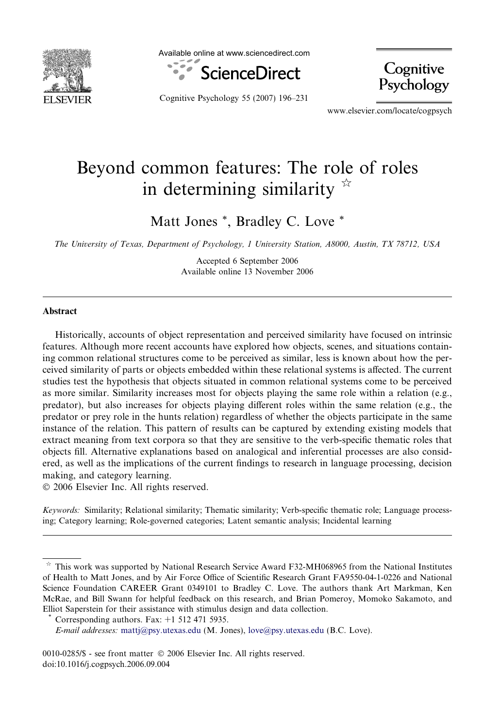

Available online at www.sciencedirect.com



Cognitive Psychology 55 (2007) 196–231

Cognitive Psychology

www.elsevier.com/locate/cogpsych

# Beyond common features: The role of roles in determining similarity  $\pi$

Matt Jones \*, Bradley C. Love \*

The University of Texas, Department of Psychology, 1 University Station, A8000, Austin, TX 78712, USA

Accepted 6 September 2006 Available online 13 November 2006

#### **Abstract**

Historically, accounts of object representation and perceived similarity have focused on intrinsic features. Although more recent accounts have explored how objects, scenes, and situations containing common relational structures come to be perceived as similar, less is known about how the perceived similarity of parts or objects embedded within these relational systems is affected. The current studies test the hypothesis that objects situated in common relational systems come to be perceived as more similar. Similarity increases most for objects playing the same role within a relation (e.g., predator), but also increases for objects playing different roles within the same relation (e.g., the predator or prey role in the hunts relation) regardless of whether the objects participate in the same instance of the relation. This pattern of results can be captured by extending existing models that extract meaning from text corpora so that they are sensitive to the verb-specific thematic roles that objects fill. Alternative explanations based on analogical and inferential processes are also considered, as well as the implications of the current findings to research in language processing, decision making, and category learning.

 $© 2006 Elsevier Inc. All rights reserved.$ 

Keywords: Similarity; Relational similarity; Thematic similarity; Verb-specific thematic role; Language processing; Category learning; Role-governed categories; Latent semantic analysis; Incidental learning

 $\dot{\tau}$  This work was supported by National Research Service Award F32-MH068965 from the National Institutes of Health to Matt Jones, and by Air Force Office of Scientific Research Grant FA9550-04-1-0226 and National Science Foundation CAREER Grant 0349101 to Bradley C. Love. The authors thank Art Markman, Ken McRae, and Bill Swann for helpful feedback on this research, and Brian Pomeroy, Momoko Sakamoto, and Elliot Saperstein for their assistance with stimulus design and data collection.

Corresponding authors. Fax:  $+1$  512 471 5935.

E-mail addresses: [mattj@psy.utexas.edu](mailto:mattj@psy.utexas.edu) (M. Jones), [love@psy.utexas.edu](mailto:love@psy.utexas.edu) (B.C. Love).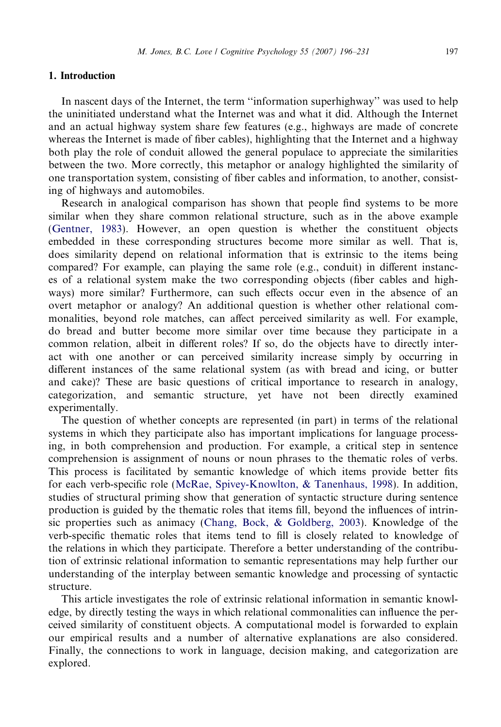## 1. Introduction

In nascent days of the Internet, the term ''information superhighway'' was used to help the uninitiated understand what the Internet was and what it did. Although the Internet and an actual highway system share few features (e.g., highways are made of concrete whereas the Internet is made of fiber cables), highlighting that the Internet and a highway both play the role of conduit allowed the general populace to appreciate the similarities between the two. More correctly, this metaphor or analogy highlighted the similarity of one transportation system, consisting of fiber cables and information, to another, consisting of highways and automobiles.

Research in analogical comparison has shown that people find systems to be more similar when they share common relational structure, such as in the above example ([Gentner, 1983](#page-32-0)). However, an open question is whether the constituent objects embedded in these corresponding structures become more similar as well. That is, does similarity depend on relational information that is extrinsic to the items being compared? For example, can playing the same role (e.g., conduit) in different instances of a relational system make the two corresponding objects (fiber cables and highways) more similar? Furthermore, can such effects occur even in the absence of an overt metaphor or analogy? An additional question is whether other relational commonalities, beyond role matches, can affect perceived similarity as well. For example, do bread and butter become more similar over time because they participate in a common relation, albeit in different roles? If so, do the objects have to directly interact with one another or can perceived similarity increase simply by occurring in different instances of the same relational system (as with bread and icing, or butter and cake)? These are basic questions of critical importance to research in analogy, categorization, and semantic structure, yet have not been directly examined experimentally.

The question of whether concepts are represented (in part) in terms of the relational systems in which they participate also has important implications for language processing, in both comprehension and production. For example, a critical step in sentence comprehension is assignment of nouns or noun phrases to the thematic roles of verbs. This process is facilitated by semantic knowledge of which items provide better fits for each verb-specific role ([McRae, Spivey-Knowlton, & Tanenhaus, 1998\)](#page-34-0). In addition, studies of structural priming show that generation of syntactic structure during sentence production is guided by the thematic roles that items fill, beyond the influences of intrinsic properties such as animacy ([Chang, Bock, & Goldberg, 2003\)](#page-32-0). Knowledge of the verb-specific thematic roles that items tend to fill is closely related to knowledge of the relations in which they participate. Therefore a better understanding of the contribution of extrinsic relational information to semantic representations may help further our understanding of the interplay between semantic knowledge and processing of syntactic structure.

This article investigates the role of extrinsic relational information in semantic knowledge, by directly testing the ways in which relational commonalities can influence the perceived similarity of constituent objects. A computational model is forwarded to explain our empirical results and a number of alternative explanations are also considered. Finally, the connections to work in language, decision making, and categorization are explored.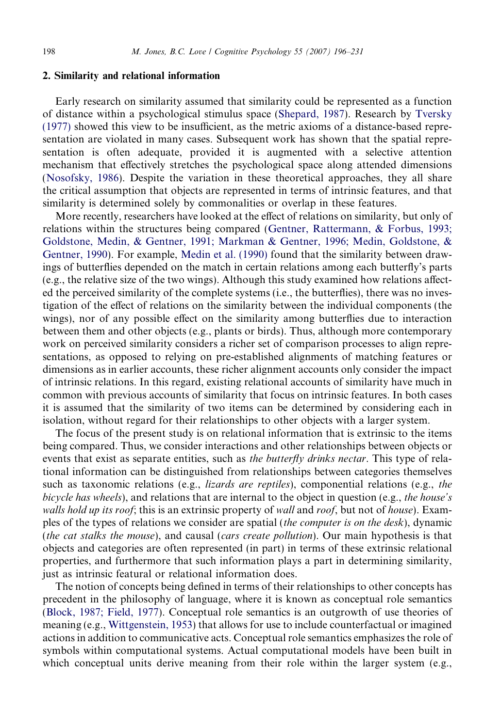#### 2. Similarity and relational information

Early research on similarity assumed that similarity could be represented as a function of distance within a psychological stimulus space [\(Shepard, 1987\)](#page-34-0). Research by [Tversky](#page-35-0) [\(1977\)](#page-35-0) showed this view to be insufficient, as the metric axioms of a distance-based representation are violated in many cases. Subsequent work has shown that the spatial representation is often adequate, provided it is augmented with a selective attention mechanism that effectively stretches the psychological space along attended dimensions [\(Nosofsky, 1986\)](#page-34-0). Despite the variation in these theoretical approaches, they all share the critical assumption that objects are represented in terms of intrinsic features, and that similarity is determined solely by commonalities or overlap in these features.

More recently, researchers have looked at the effect of relations on similarity, but only of relations within the structures being compared ([Gentner, Rattermann, & Forbus, 1993;](#page-32-0) [Goldstone, Medin, & Gentner, 1991; Markman & Gentner, 1996; Medin, Goldstone, &](#page-32-0) [Gentner, 1990](#page-32-0)). For example, [Medin et al. \(1990\)](#page-34-0) found that the similarity between drawings of butterflies depended on the match in certain relations among each butterfly's parts (e.g., the relative size of the two wings). Although this study examined how relations affected the perceived similarity of the complete systems (i.e., the butterflies), there was no investigation of the effect of relations on the similarity between the individual components (the wings), nor of any possible effect on the similarity among butterflies due to interaction between them and other objects (e.g., plants or birds). Thus, although more contemporary work on perceived similarity considers a richer set of comparison processes to align representations, as opposed to relying on pre-established alignments of matching features or dimensions as in earlier accounts, these richer alignment accounts only consider the impact of intrinsic relations. In this regard, existing relational accounts of similarity have much in common with previous accounts of similarity that focus on intrinsic features. In both cases it is assumed that the similarity of two items can be determined by considering each in isolation, without regard for their relationships to other objects with a larger system.

The focus of the present study is on relational information that is extrinsic to the items being compared. Thus, we consider interactions and other relationships between objects or events that exist as separate entities, such as the butterfly drinks nectar. This type of relational information can be distinguished from relationships between categories themselves such as taxonomic relations (e.g., *lizards are reptiles*), componential relations (e.g., *the* bicycle has wheels), and relations that are internal to the object in question (e.g., the house's walls hold up its roof; this is an extrinsic property of wall and roof, but not of house). Examples of the types of relations we consider are spatial (the computer is on the desk), dynamic (the cat stalks the mouse), and causal (cars create pollution). Our main hypothesis is that objects and categories are often represented (in part) in terms of these extrinsic relational properties, and furthermore that such information plays a part in determining similarity, just as intrinsic featural or relational information does.

The notion of concepts being defined in terms of their relationships to other concepts has precedent in the philosophy of language, where it is known as conceptual role semantics [\(Block, 1987; Field, 1977](#page-32-0)). Conceptual role semantics is an outgrowth of use theories of meaning (e.g., [Wittgenstein, 1953\)](#page-35-0) that allows for use to include counterfactual or imagined actions in addition to communicative acts. Conceptual role semantics emphasizes the role of symbols within computational systems. Actual computational models have been built in which conceptual units derive meaning from their role within the larger system (e.g.,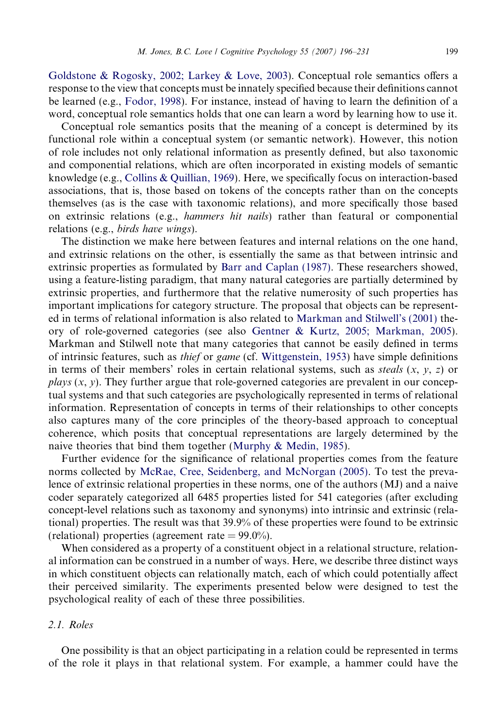[Goldstone & Rogosky, 2002; Larkey & Love, 2003\)](#page-33-0). Conceptual role semantics offers a response to the view that concepts must be innately specified because their definitions cannot be learned (e.g., [Fodor, 1998](#page-32-0)). For instance, instead of having to learn the definition of a word, conceptual role semantics holds that one can learn a word by learning how to use it.

Conceptual role semantics posits that the meaning of a concept is determined by its functional role within a conceptual system (or semantic network). However, this notion of role includes not only relational information as presently defined, but also taxonomic and componential relations, which are often incorporated in existing models of semantic knowledge (e.g., [Collins & Quillian, 1969\)](#page-32-0). Here, we specifically focus on interaction-based associations, that is, those based on tokens of the concepts rather than on the concepts themselves (as is the case with taxonomic relations), and more specifically those based on extrinsic relations (e.g., hammers hit nails) rather than featural or componential relations (e.g., birds have wings).

The distinction we make here between features and internal relations on the one hand, and extrinsic relations on the other, is essentially the same as that between intrinsic and extrinsic properties as formulated by [Barr and Caplan \(1987\)](#page-32-0). These researchers showed, using a feature-listing paradigm, that many natural categories are partially determined by extrinsic properties, and furthermore that the relative numerosity of such properties has important implications for category structure. The proposal that objects can be represented in terms of relational information is also related to [Markman and Stilwell's \(2001\)](#page-33-0) theory of role-governed categories (see also [Gentner & Kurtz, 2005; Markman, 2005\)](#page-32-0). Markman and Stilwell note that many categories that cannot be easily defined in terms of intrinsic features, such as thief or game (cf. [Wittgenstein, 1953\)](#page-35-0) have simple definitions in terms of their members' roles in certain relational systems, such as *steals*  $(x, y, z)$  or plays  $(x, y)$ . They further argue that role-governed categories are prevalent in our conceptual systems and that such categories are psychologically represented in terms of relational information. Representation of concepts in terms of their relationships to other concepts also captures many of the core principles of the theory-based approach to conceptual coherence, which posits that conceptual representations are largely determined by the naive theories that bind them together ([Murphy & Medin, 1985](#page-34-0)).

Further evidence for the significance of relational properties comes from the feature norms collected by [McRae, Cree, Seidenberg, and McNorgan \(2005\).](#page-34-0) To test the prevalence of extrinsic relational properties in these norms, one of the authors (MJ) and a naive coder separately categorized all 6485 properties listed for 541 categories (after excluding concept-level relations such as taxonomy and synonyms) into intrinsic and extrinsic (relational) properties. The result was that 39.9% of these properties were found to be extrinsic (relational) properties (agreement rate  $= 99.0\%$ ).

When considered as a property of a constituent object in a relational structure, relational information can be construed in a number of ways. Here, we describe three distinct ways in which constituent objects can relationally match, each of which could potentially affect their perceived similarity. The experiments presented below were designed to test the psychological reality of each of these three possibilities.

# 2.1. Roles

One possibility is that an object participating in a relation could be represented in terms of the role it plays in that relational system. For example, a hammer could have the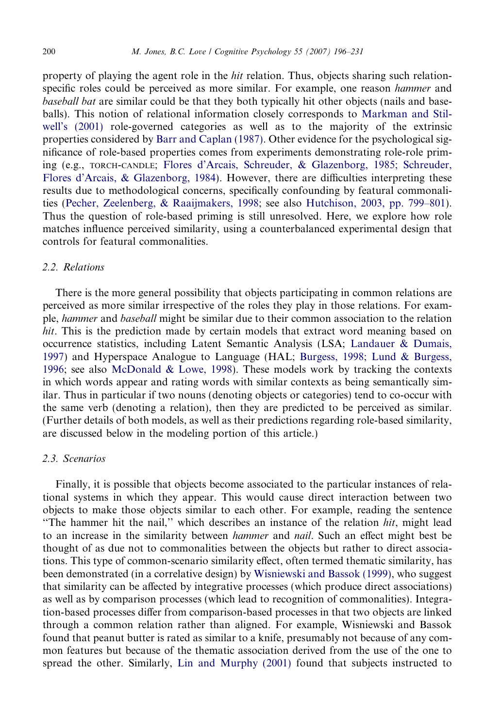property of playing the agent role in the *hit* relation. Thus, objects sharing such relationspecific roles could be perceived as more similar. For example, one reason *hammer* and baseball bat are similar could be that they both typically hit other objects (nails and baseballs). This notion of relational information closely corresponds to [Markman and Stil](#page-33-0)[well's \(2001\)](#page-33-0) role-governed categories as well as to the majority of the extrinsic properties considered by [Barr and Caplan \(1987\).](#page-32-0) Other evidence for the psychological significance of role-based properties comes from experiments demonstrating role-role priming (e.g., TORCH-CANDLE; [Flores d'Arcais, Schreuder, & Glazenborg, 1985; Schreuder,](#page-32-0) [Flores d'Arcais, & Glazenborg, 1984\)](#page-32-0). However, there are difficulties interpreting these results due to methodological concerns, specifically confounding by featural commonalities [\(Pecher, Zeelenberg, & Raaijmakers, 1998;](#page-34-0) see also [Hutchison, 2003, pp. 799–801](#page-33-0)). Thus the question of role-based priming is still unresolved. Here, we explore how role matches influence perceived similarity, using a counterbalanced experimental design that controls for featural commonalities.

## 2.2. Relations

There is the more general possibility that objects participating in common relations are perceived as more similar irrespective of the roles they play in those relations. For example, hammer and baseball might be similar due to their common association to the relation hit. This is the prediction made by certain models that extract word meaning based on occurrence statistics, including Latent Semantic Analysis (LSA; [Landauer & Dumais,](#page-33-0) [1997\)](#page-33-0) and Hyperspace Analogue to Language (HAL; [Burgess, 1998; Lund & Burgess,](#page-32-0) [1996;](#page-32-0) see also [McDonald & Lowe, 1998\)](#page-33-0). These models work by tracking the contexts in which words appear and rating words with similar contexts as being semantically similar. Thus in particular if two nouns (denoting objects or categories) tend to co-occur with the same verb (denoting a relation), then they are predicted to be perceived as similar. (Further details of both models, as well as their predictions regarding role-based similarity, are discussed below in the modeling portion of this article.)

# 2.3. Scenarios

Finally, it is possible that objects become associated to the particular instances of relational systems in which they appear. This would cause direct interaction between two objects to make those objects similar to each other. For example, reading the sentence "The hammer hit the nail," which describes an instance of the relation hit, might lead to an increase in the similarity between *hammer* and *nail*. Such an effect might best be thought of as due not to commonalities between the objects but rather to direct associations. This type of common-scenario similarity effect, often termed thematic similarity, has been demonstrated (in a correlative design) by [Wisniewski and Bassok \(1999\),](#page-35-0) who suggest that similarity can be affected by integrative processes (which produce direct associations) as well as by comparison processes (which lead to recognition of commonalities). Integration-based processes differ from comparison-based processes in that two objects are linked through a common relation rather than aligned. For example, Wisniewski and Bassok found that peanut butter is rated as similar to a knife, presumably not because of any common features but because of the thematic association derived from the use of the one to spread the other. Similarly, [Lin and Murphy \(2001\)](#page-33-0) found that subjects instructed to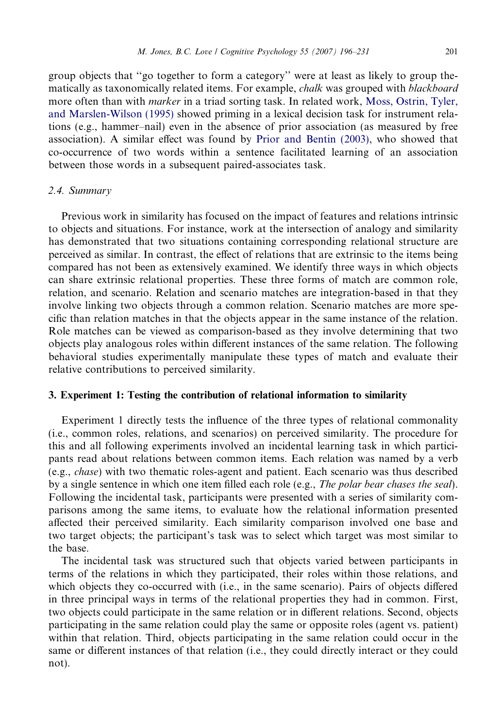group objects that ''go together to form a category'' were at least as likely to group thematically as taxonomically related items. For example, *chalk* was grouped with *blackboard* more often than with *marker* in a triad sorting task. In related work, [Moss, Ostrin, Tyler,](#page-34-0) [and Marslen-Wilson \(1995\)](#page-34-0) showed priming in a lexical decision task for instrument relations (e.g., hammer–nail) even in the absence of prior association (as measured by free association). A similar effect was found by [Prior and Bentin \(2003\),](#page-34-0) who showed that co-occurrence of two words within a sentence facilitated learning of an association between those words in a subsequent paired-associates task.

#### 2.4. Summary

Previous work in similarity has focused on the impact of features and relations intrinsic to objects and situations. For instance, work at the intersection of analogy and similarity has demonstrated that two situations containing corresponding relational structure are perceived as similar. In contrast, the effect of relations that are extrinsic to the items being compared has not been as extensively examined. We identify three ways in which objects can share extrinsic relational properties. These three forms of match are common role, relation, and scenario. Relation and scenario matches are integration-based in that they involve linking two objects through a common relation. Scenario matches are more specific than relation matches in that the objects appear in the same instance of the relation. Role matches can be viewed as comparison-based as they involve determining that two objects play analogous roles within different instances of the same relation. The following behavioral studies experimentally manipulate these types of match and evaluate their relative contributions to perceived similarity.

## 3. Experiment 1: Testing the contribution of relational information to similarity

Experiment 1 directly tests the influence of the three types of relational commonality (i.e., common roles, relations, and scenarios) on perceived similarity. The procedure for this and all following experiments involved an incidental learning task in which participants read about relations between common items. Each relation was named by a verb (e.g., chase) with two thematic roles-agent and patient. Each scenario was thus described by a single sentence in which one item filled each role (e.g., The polar bear chases the seal). Following the incidental task, participants were presented with a series of similarity comparisons among the same items, to evaluate how the relational information presented affected their perceived similarity. Each similarity comparison involved one base and two target objects; the participant's task was to select which target was most similar to the base.

The incidental task was structured such that objects varied between participants in terms of the relations in which they participated, their roles within those relations, and which objects they co-occurred with (i.e., in the same scenario). Pairs of objects differed in three principal ways in terms of the relational properties they had in common. First, two objects could participate in the same relation or in different relations. Second, objects participating in the same relation could play the same or opposite roles (agent vs. patient) within that relation. Third, objects participating in the same relation could occur in the same or different instances of that relation (i.e., they could directly interact or they could not).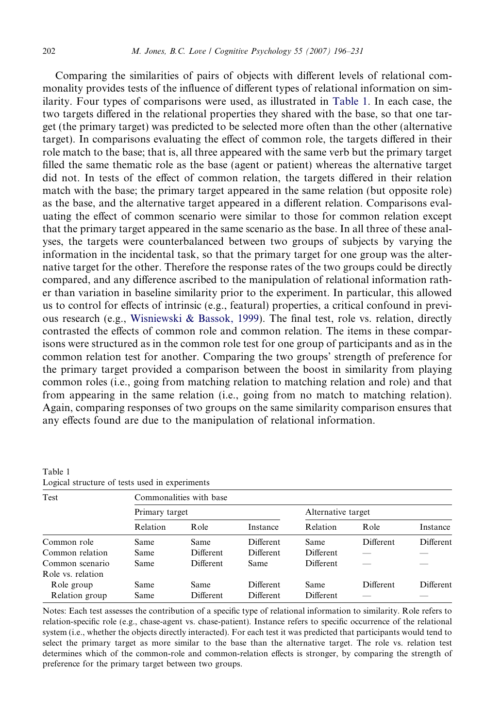<span id="page-6-0"></span>Comparing the similarities of pairs of objects with different levels of relational commonality provides tests of the influence of different types of relational information on similarity. Four types of comparisons were used, as illustrated in Table 1. In each case, the two targets differed in the relational properties they shared with the base, so that one target (the primary target) was predicted to be selected more often than the other (alternative target). In comparisons evaluating the effect of common role, the targets differed in their role match to the base; that is, all three appeared with the same verb but the primary target filled the same thematic role as the base (agent or patient) whereas the alternative target did not. In tests of the effect of common relation, the targets differed in their relation match with the base; the primary target appeared in the same relation (but opposite role) as the base, and the alternative target appeared in a different relation. Comparisons evaluating the effect of common scenario were similar to those for common relation except that the primary target appeared in the same scenario as the base. In all three of these analyses, the targets were counterbalanced between two groups of subjects by varying the information in the incidental task, so that the primary target for one group was the alternative target for the other. Therefore the response rates of the two groups could be directly compared, and any difference ascribed to the manipulation of relational information rather than variation in baseline similarity prior to the experiment. In particular, this allowed us to control for effects of intrinsic (e.g., featural) properties, a critical confound in previous research (e.g., [Wisniewski & Bassok, 1999\)](#page-35-0). The final test, role vs. relation, directly contrasted the effects of common role and common relation. The items in these comparisons were structured as in the common role test for one group of participants and as in the common relation test for another. Comparing the two groups' strength of preference for the primary target provided a comparison between the boost in similarity from playing common roles (i.e., going from matching relation to matching relation and role) and that from appearing in the same relation (i.e., going from no match to matching relation). Again, comparing responses of two groups on the same similarity comparison ensures that any effects found are due to the manipulation of relational information.

| Test              |                | Commonalities with base |                  |           |                    |           |  |  |  |  |  |
|-------------------|----------------|-------------------------|------------------|-----------|--------------------|-----------|--|--|--|--|--|
|                   | Primary target |                         |                  |           | Alternative target |           |  |  |  |  |  |
|                   | Relation       | Role                    | Instance         | Relation  | Role               | Instance  |  |  |  |  |  |
| Common role       | Same           | Same                    | Different        | Same      | <b>Different</b>   | Different |  |  |  |  |  |
| Common relation   | Same           | Different               | Different        | Different |                    |           |  |  |  |  |  |
| Common scenario   | Same           | <b>Different</b>        | Same             | Different |                    |           |  |  |  |  |  |
| Role vs. relation |                |                         |                  |           |                    |           |  |  |  |  |  |
| Role group        | Same           | Same                    | <b>Different</b> | Same      | <b>Different</b>   | Different |  |  |  |  |  |
| Relation group    | Same           | Different               | Different        | Different |                    |           |  |  |  |  |  |

Table 1 Logical structure of tests used in experiments

Notes: Each test assesses the contribution of a specific type of relational information to similarity. Role refers to relation-specific role (e.g., chase-agent vs. chase-patient). Instance refers to specific occurrence of the relational system (i.e., whether the objects directly interacted). For each test it was predicted that participants would tend to select the primary target as more similar to the base than the alternative target. The role vs. relation test determines which of the common-role and common-relation effects is stronger, by comparing the strength of preference for the primary target between two groups.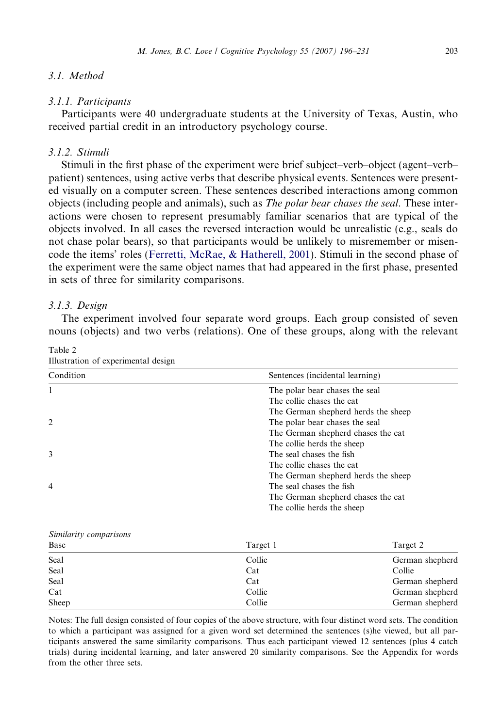# <span id="page-7-0"></span>3.1. Method

#### 3.1.1. Participants

Participants were 40 undergraduate students at the University of Texas, Austin, who received partial credit in an introductory psychology course.

## 3.1.2. Stimuli

Stimuli in the first phase of the experiment were brief subject–verb–object (agent–verb– patient) sentences, using active verbs that describe physical events. Sentences were presented visually on a computer screen. These sentences described interactions among common objects (including people and animals), such as *The polar bear chases the seal*. These interactions were chosen to represent presumably familiar scenarios that are typical of the objects involved. In all cases the reversed interaction would be unrealistic (e.g., seals do not chase polar bears), so that participants would be unlikely to misremember or misencode the items' roles ([Ferretti, McRae, & Hatherell, 2001](#page-32-0)). Stimuli in the second phase of the experiment were the same object names that had appeared in the first phase, presented in sets of three for similarity comparisons.

# 3.1.3. Design

The experiment involved four separate word groups. Each group consisted of seven nouns (objects) and two verbs (relations). One of these groups, along with the relevant

| Condition      | Sentences (incidental learning)     |  |  |  |
|----------------|-------------------------------------|--|--|--|
|                | The polar bear chases the seal      |  |  |  |
|                | The collie chases the cat           |  |  |  |
|                | The German shepherd herds the sheep |  |  |  |
| 2              | The polar bear chases the seal      |  |  |  |
|                | The German shepherd chases the cat  |  |  |  |
|                | The collie herds the sheep          |  |  |  |
| 3              | The seal chases the fish            |  |  |  |
|                | The collie chases the cat           |  |  |  |
|                | The German shepherd herds the sheep |  |  |  |
| $\overline{4}$ | The seal chases the fish            |  |  |  |
|                | The German shepherd chases the cat  |  |  |  |
|                | The collie herds the sheep          |  |  |  |

Table 2 Illustration of experimental design

| Similarity comparisons |          |                 |  |  |  |  |
|------------------------|----------|-----------------|--|--|--|--|
| Base                   | Target 1 | Target 2        |  |  |  |  |
| Seal                   | Collie   | German shepherd |  |  |  |  |
| Seal                   | Cat      | Collie          |  |  |  |  |
| Seal                   | Cat      | German shepherd |  |  |  |  |
| Cat                    | Collie   | German shepherd |  |  |  |  |
| Sheep                  | Collie   | German shepherd |  |  |  |  |

Notes: The full design consisted of four copies of the above structure, with four distinct word sets. The condition to which a participant was assigned for a given word set determined the sentences (s)he viewed, but all participants answered the same similarity comparisons. Thus each participant viewed 12 sentences (plus 4 catch trials) during incidental learning, and later answered 20 similarity comparisons. See the Appendix for words from the other three sets.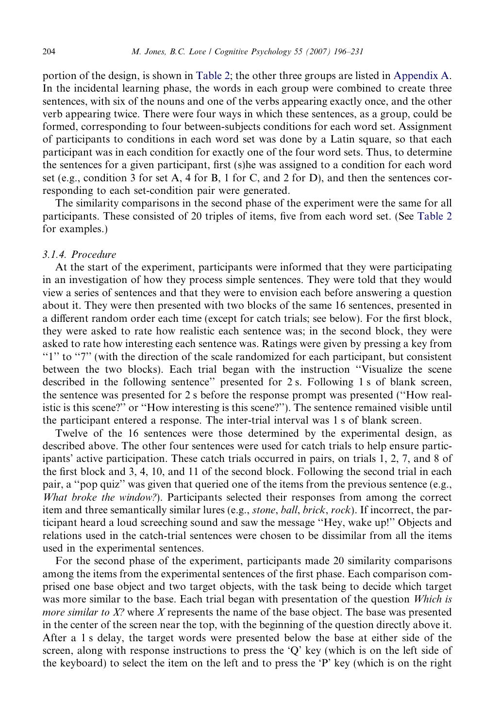portion of the design, is shown in [Table 2;](#page-7-0) the other three groups are listed in Appendix A. In the incidental learning phase, the words in each group were combined to create three sentences, with six of the nouns and one of the verbs appearing exactly once, and the other verb appearing twice. There were four ways in which these sentences, as a group, could be formed, corresponding to four between-subjects conditions for each word set. Assignment of participants to conditions in each word set was done by a Latin square, so that each participant was in each condition for exactly one of the four word sets. Thus, to determine the sentences for a given participant, first (s)he was assigned to a condition for each word set (e.g., condition 3 for set A, 4 for B, 1 for C, and 2 for D), and then the sentences corresponding to each set-condition pair were generated.

The similarity comparisons in the second phase of the experiment were the same for all participants. These consisted of 20 triples of items, five from each word set. (See [Table 2](#page-7-0) for examples.)

#### 3.1.4. Procedure

At the start of the experiment, participants were informed that they were participating in an investigation of how they process simple sentences. They were told that they would view a series of sentences and that they were to envision each before answering a question about it. They were then presented with two blocks of the same 16 sentences, presented in a different random order each time (except for catch trials; see below). For the first block, they were asked to rate how realistic each sentence was; in the second block, they were asked to rate how interesting each sentence was. Ratings were given by pressing a key from ''1'' to ''7'' (with the direction of the scale randomized for each participant, but consistent between the two blocks). Each trial began with the instruction ''Visualize the scene described in the following sentence'' presented for 2 s. Following 1 s of blank screen, the sentence was presented for 2 s before the response prompt was presented (''How realistic is this scene?'' or ''How interesting is this scene?''). The sentence remained visible until the participant entered a response. The inter-trial interval was 1 s of blank screen.

Twelve of the 16 sentences were those determined by the experimental design, as described above. The other four sentences were used for catch trials to help ensure participants' active participation. These catch trials occurred in pairs, on trials 1, 2, 7, and 8 of the first block and 3, 4, 10, and 11 of the second block. Following the second trial in each pair, a ''pop quiz'' was given that queried one of the items from the previous sentence (e.g., What broke the window?). Participants selected their responses from among the correct item and three semantically similar lures (e.g., *stone, ball, brick, rock*). If incorrect, the participant heard a loud screeching sound and saw the message ''Hey, wake up!'' Objects and relations used in the catch-trial sentences were chosen to be dissimilar from all the items used in the experimental sentences.

For the second phase of the experiment, participants made 20 similarity comparisons among the items from the experimental sentences of the first phase. Each comparison comprised one base object and two target objects, with the task being to decide which target was more similar to the base. Each trial began with presentation of the question Which is *more similar to X?* where  $X$  represents the name of the base object. The base was presented in the center of the screen near the top, with the beginning of the question directly above it. After a 1 s delay, the target words were presented below the base at either side of the screen, along with response instructions to press the 'Q' key (which is on the left side of the keyboard) to select the item on the left and to press the 'P' key (which is on the right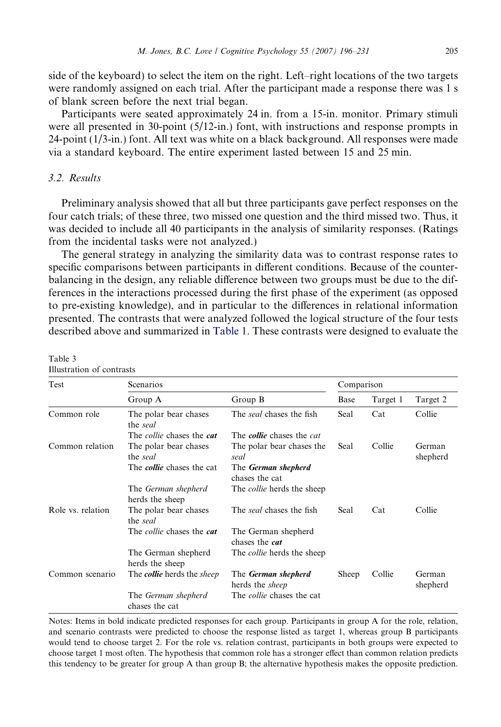<span id="page-9-0"></span>side of the keyboard) to select the item on the right. Left–right locations of the two targets were randomly assigned on each trial. After the participant made a response there was 1 s of blank screen before the next trial began.

Participants were seated approximately 24 in. from a 15-in. monitor. Primary stimuli were all presented in 30-point (5/12-in.) font, with instructions and response prompts in 24-point (1/3-in.) font. All text was white on a black background. All responses were made via a standard keyboard. The entire experiment lasted between 15 and 25 min.

# 3.2. Results

Preliminary analysis showed that all but three participants gave perfect responses on the four catch trials; of these three, two missed one question and the third missed two. Thus, it was decided to include all 40 participants in the analysis of similarity responses. (Ratings from the incidental tasks were not analyzed.)

The general strategy in analyzing the similarity data was to contrast response rates to specific comparisons between participants in different conditions. Because of the counterbalancing in the design, any reliable difference between two groups must be due to the differences in the interactions processed during the first phase of the experiment (as opposed to pre-existing knowledge), and in particular to the differences in relational information presented. The contrasts that were analyzed followed the logical structure of the four tests described above and summarized in [Table 1.](#page-6-0) These contrasts were designed to evaluate the

| Test              | Scenarios                                     |                                               | Comparison |          |                    |  |  |
|-------------------|-----------------------------------------------|-----------------------------------------------|------------|----------|--------------------|--|--|
|                   | Group A                                       | Group B                                       | Base       | Target 1 | Target 2           |  |  |
| Common role       | The polar bear chases<br>the <i>seal</i>      | The <i>seal</i> chases the fish               | Seal       | Cat      | Collie             |  |  |
|                   | The <i>collie</i> chases the <i>cat</i>       | The <i>collie</i> chases the <i>cat</i>       |            |          |                    |  |  |
| Common relation   | The polar bear chases<br>the seal             | The polar bear chases the<br>seal             | Seal       | Collie   | German<br>shepherd |  |  |
|                   | The <i>collie</i> chases the cat              | The <i>German shepherd</i><br>chases the cat  |            |          |                    |  |  |
|                   | The <i>German shepherd</i><br>herds the sheep | The <i>collie</i> herds the sheep             |            |          |                    |  |  |
| Role vs. relation | The polar bear chases<br>the <i>seal</i>      | The seal chases the fish                      | Seal       | Cat      | Collie             |  |  |
|                   | The <i>collie</i> chases the <i>cat</i>       | The German shepherd<br>chases the <i>cat</i>  |            |          |                    |  |  |
|                   | The German shepherd<br>herds the sheep        | The <i>collie</i> herds the sheep             |            |          |                    |  |  |
| Common scenario   | The <i>collie</i> herds the <i>sheep</i>      | The German shepherd<br>herds the <i>sheep</i> | Sheep      | Collie   | German<br>shepherd |  |  |
|                   | The German shepherd<br>chases the cat         | The <i>collie</i> chases the cat              |            |          |                    |  |  |

Table 3 Illustration of contrasts

Notes: Items in bold indicate predicted responses for each group. Participants in group A for the role, relation, and scenario contrasts were predicted to choose the response listed as target 1, whereas group B participants would tend to choose target 2. For the role vs. relation contrast, participants in both groups were expected to choose target 1 most often. The hypothesis that common role has a stronger effect than common relation predicts this tendency to be greater for group A than group B; the alternative hypothesis makes the opposite prediction.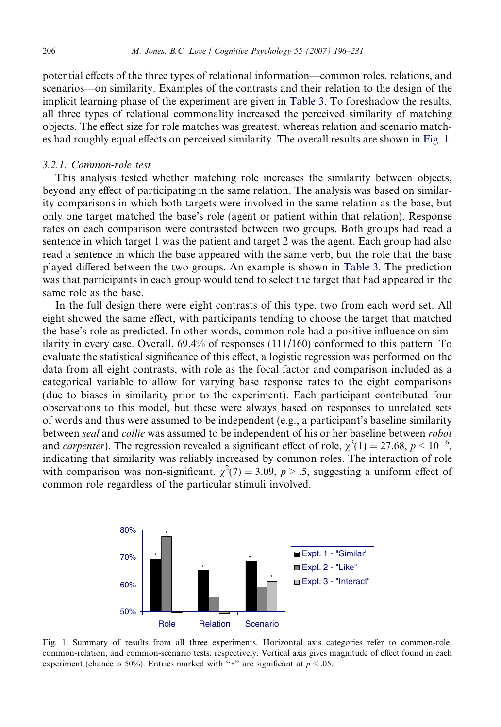<span id="page-10-0"></span>potential effects of the three types of relational information—common roles, relations, and scenarios—on similarity. Examples of the contrasts and their relation to the design of the implicit learning phase of the experiment are given in [Table 3.](#page-9-0) To foreshadow the results, all three types of relational commonality increased the perceived similarity of matching objects. The effect size for role matches was greatest, whereas relation and scenario matches had roughly equal effects on perceived similarity. The overall results are shown in Fig. 1.

## 3.2.1. Common-role test

This analysis tested whether matching role increases the similarity between objects, beyond any effect of participating in the same relation. The analysis was based on similarity comparisons in which both targets were involved in the same relation as the base, but only one target matched the base's role (agent or patient within that relation). Response rates on each comparison were contrasted between two groups. Both groups had read a sentence in which target 1 was the patient and target 2 was the agent. Each group had also read a sentence in which the base appeared with the same verb, but the role that the base played differed between the two groups. An example is shown in [Table 3](#page-9-0). The prediction was that participants in each group would tend to select the target that had appeared in the same role as the base.

In the full design there were eight contrasts of this type, two from each word set. All eight showed the same effect, with participants tending to choose the target that matched the base's role as predicted. In other words, common role had a positive influence on similarity in every case. Overall, 69.4% of responses (111/160) conformed to this pattern. To evaluate the statistical significance of this effect, a logistic regression was performed on the data from all eight contrasts, with role as the focal factor and comparison included as a categorical variable to allow for varying base response rates to the eight comparisons (due to biases in similarity prior to the experiment). Each participant contributed four observations to this model, but these were always based on responses to unrelated sets of words and thus were assumed to be independent (e.g., a participant's baseline similarity between seal and collie was assumed to be independent of his or her baseline between robot and *carpenter*). The regression revealed a significant effect of role,  $\chi^2(1) = 27.68$ ,  $p \le 10^{-6}$ , indicating that similarity was reliably increased by common roles. The interaction of role with comparison was non-significant,  $\chi^2(7) = 3.09$ ,  $p > .5$ , suggesting a uniform effect of common role regardless of the particular stimuli involved.



Fig. 1. Summary of results from all three experiments. Horizontal axis categories refer to common-role, common-relation, and common-scenario tests, respectively. Vertical axis gives magnitude of effect found in each experiment (chance is 50%). Entries marked with "\*" are significant at  $p < .05$ .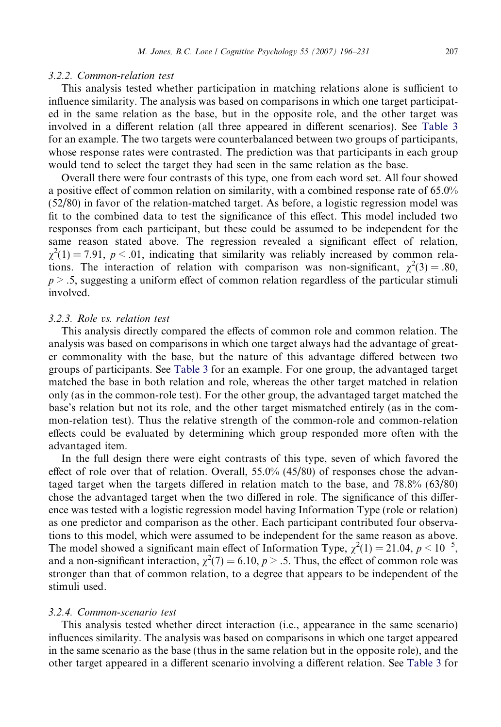#### 3.2.2. Common-relation test

This analysis tested whether participation in matching relations alone is sufficient to influence similarity. The analysis was based on comparisons in which one target participated in the same relation as the base, but in the opposite role, and the other target was involved in a different relation (all three appeared in different scenarios). See [Table 3](#page-9-0) for an example. The two targets were counterbalanced between two groups of participants, whose response rates were contrasted. The prediction was that participants in each group would tend to select the target they had seen in the same relation as the base.

Overall there were four contrasts of this type, one from each word set. All four showed a positive effect of common relation on similarity, with a combined response rate of 65.0% (52/80) in favor of the relation-matched target. As before, a logistic regression model was fit to the combined data to test the significance of this effect. This model included two responses from each participant, but these could be assumed to be independent for the same reason stated above. The regression revealed a significant effect of relation,  $\chi^2(1) = 7.91$ ,  $p < .01$ , indicating that similarity was reliably increased by common relations. The interaction of relation with comparison was non-significant,  $\chi^2(3) = .80$ ,  $p > 0.5$ , suggesting a uniform effect of common relation regardless of the particular stimuli involved.

# 3.2.3. Role vs. relation test

This analysis directly compared the effects of common role and common relation. The analysis was based on comparisons in which one target always had the advantage of greater commonality with the base, but the nature of this advantage differed between two groups of participants. See [Table 3](#page-9-0) for an example. For one group, the advantaged target matched the base in both relation and role, whereas the other target matched in relation only (as in the common-role test). For the other group, the advantaged target matched the base's relation but not its role, and the other target mismatched entirely (as in the common-relation test). Thus the relative strength of the common-role and common-relation effects could be evaluated by determining which group responded more often with the advantaged item.

In the full design there were eight contrasts of this type, seven of which favored the effect of role over that of relation. Overall, 55.0% (45/80) of responses chose the advantaged target when the targets differed in relation match to the base, and 78.8% (63/80) chose the advantaged target when the two differed in role. The significance of this difference was tested with a logistic regression model having Information Type (role or relation) as one predictor and comparison as the other. Each participant contributed four observations to this model, which were assumed to be independent for the same reason as above. The model showed a significant main effect of Information Type,  $\chi^2(1) = 21.04$ ,  $p < 10^{-5}$ , and a non-significant interaction,  $\chi^2(7) = 6.10$ ,  $p > .5$ . Thus, the effect of common role was stronger than that of common relation, to a degree that appears to be independent of the stimuli used.

## 3.2.4. Common-scenario test

This analysis tested whether direct interaction (i.e., appearance in the same scenario) influences similarity. The analysis was based on comparisons in which one target appeared in the same scenario as the base (thus in the same relation but in the opposite role), and the other target appeared in a different scenario involving a different relation. See [Table 3](#page-9-0) for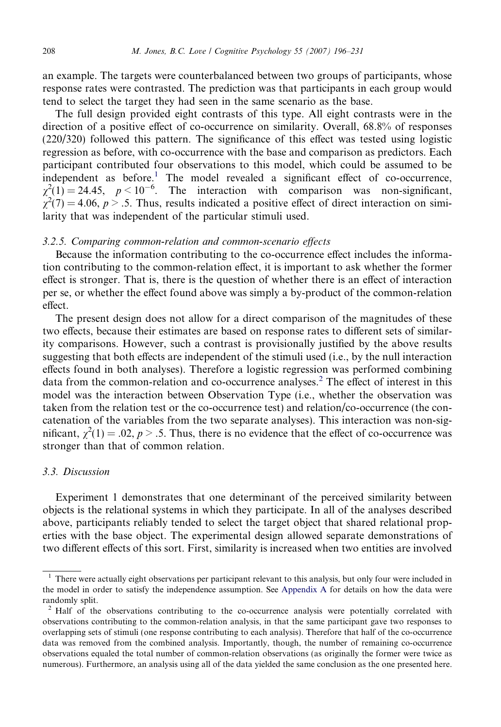<span id="page-12-0"></span>an example. The targets were counterbalanced between two groups of participants, whose response rates were contrasted. The prediction was that participants in each group would tend to select the target they had seen in the same scenario as the base.

The full design provided eight contrasts of this type. All eight contrasts were in the direction of a positive effect of co-occurrence on similarity. Overall, 68.8% of responses (220/320) followed this pattern. The significance of this effect was tested using logistic regression as before, with co-occurrence with the base and comparison as predictors. Each participant contributed four observations to this model, which could be assumed to be independent as before.<sup>1</sup> The model revealed a significant effect of co-occurrence,  $\chi^2(1) = 24.45$ ,  $p < 10^{-6}$ . The interaction with comparison was non-significant,  $\chi^2(7) = 4.06$ ,  $p > .5$ . Thus, results indicated a positive effect of direct interaction on similarity that was independent of the particular stimuli used.

#### 3.2.5. Comparing common-relation and common-scenario effects

Because the information contributing to the co-occurrence effect includes the information contributing to the common-relation effect, it is important to ask whether the former effect is stronger. That is, there is the question of whether there is an effect of interaction per se, or whether the effect found above was simply a by-product of the common-relation effect.

The present design does not allow for a direct comparison of the magnitudes of these two effects, because their estimates are based on response rates to different sets of similarity comparisons. However, such a contrast is provisionally justified by the above results suggesting that both effects are independent of the stimuli used (i.e., by the null interaction effects found in both analyses). Therefore a logistic regression was performed combining data from the common-relation and co-occurrence analyses.<sup>2</sup> The effect of interest in this model was the interaction between Observation Type (i.e., whether the observation was taken from the relation test or the co-occurrence test) and relation/co-occurrence (the concatenation of the variables from the two separate analyses). This interaction was non-significant,  $\chi^2(1) = .02$ ,  $p > .5$ . Thus, there is no evidence that the effect of co-occurrence was stronger than that of common relation.

## 3.3. Discussion

Experiment 1 demonstrates that one determinant of the perceived similarity between objects is the relational systems in which they participate. In all of the analyses described above, participants reliably tended to select the target object that shared relational properties with the base object. The experimental design allowed separate demonstrations of two different effects of this sort. First, similarity is increased when two entities are involved

<sup>&</sup>lt;sup>1</sup> There were actually eight observations per participant relevant to this analysis, but only four were included in the model in order to satisfy the independence assumption. See Appendix A for details on how the data were randomly split.

<sup>2</sup> Half of the observations contributing to the co-occurrence analysis were potentially correlated with observations contributing to the common-relation analysis, in that the same participant gave two responses to overlapping sets of stimuli (one response contributing to each analysis). Therefore that half of the co-occurrence data was removed from the combined analysis. Importantly, though, the number of remaining co-occurrence observations equaled the total number of common-relation observations (as originally the former were twice as numerous). Furthermore, an analysis using all of the data yielded the same conclusion as the one presented here.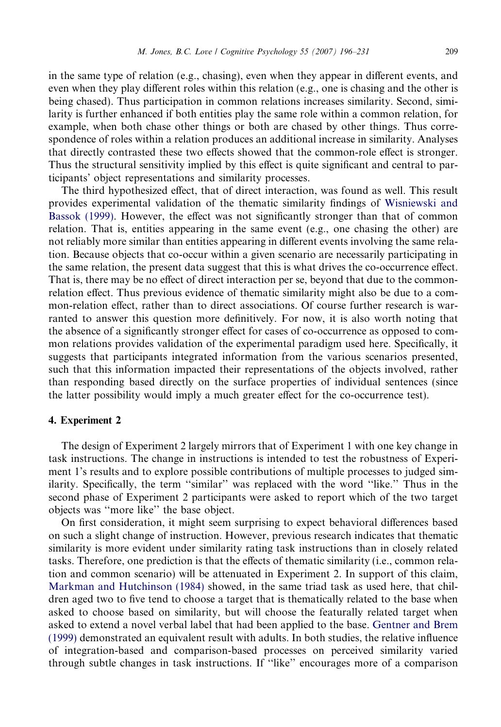in the same type of relation (e.g., chasing), even when they appear in different events, and even when they play different roles within this relation (e.g., one is chasing and the other is being chased). Thus participation in common relations increases similarity. Second, similarity is further enhanced if both entities play the same role within a common relation, for example, when both chase other things or both are chased by other things. Thus correspondence of roles within a relation produces an additional increase in similarity. Analyses that directly contrasted these two effects showed that the common-role effect is stronger. Thus the structural sensitivity implied by this effect is quite significant and central to participants' object representations and similarity processes.

The third hypothesized effect, that of direct interaction, was found as well. This result provides experimental validation of the thematic similarity findings of [Wisniewski and](#page-35-0) [Bassok \(1999\)](#page-35-0). However, the effect was not significantly stronger than that of common relation. That is, entities appearing in the same event (e.g., one chasing the other) are not reliably more similar than entities appearing in different events involving the same relation. Because objects that co-occur within a given scenario are necessarily participating in the same relation, the present data suggest that this is what drives the co-occurrence effect. That is, there may be no effect of direct interaction per se, beyond that due to the commonrelation effect. Thus previous evidence of thematic similarity might also be due to a common-relation effect, rather than to direct associations. Of course further research is warranted to answer this question more definitively. For now, it is also worth noting that the absence of a significantly stronger effect for cases of co-occurrence as opposed to common relations provides validation of the experimental paradigm used here. Specifically, it suggests that participants integrated information from the various scenarios presented, such that this information impacted their representations of the objects involved, rather than responding based directly on the surface properties of individual sentences (since the latter possibility would imply a much greater effect for the co-occurrence test).

# 4. Experiment 2

The design of Experiment 2 largely mirrors that of Experiment 1 with one key change in task instructions. The change in instructions is intended to test the robustness of Experiment 1's results and to explore possible contributions of multiple processes to judged similarity. Specifically, the term ''similar'' was replaced with the word ''like.'' Thus in the second phase of Experiment 2 participants were asked to report which of the two target objects was ''more like'' the base object.

On first consideration, it might seem surprising to expect behavioral differences based on such a slight change of instruction. However, previous research indicates that thematic similarity is more evident under similarity rating task instructions than in closely related tasks. Therefore, one prediction is that the effects of thematic similarity (i.e., common relation and common scenario) will be attenuated in Experiment 2. In support of this claim, [Markman and Hutchinson \(1984\)](#page-33-0) showed, in the same triad task as used here, that children aged two to five tend to choose a target that is thematically related to the base when asked to choose based on similarity, but will choose the featurally related target when asked to extend a novel verbal label that had been applied to the base. [Gentner and Brem](#page-32-0) [\(1999\)](#page-32-0) demonstrated an equivalent result with adults. In both studies, the relative influence of integration-based and comparison-based processes on perceived similarity varied through subtle changes in task instructions. If ''like'' encourages more of a comparison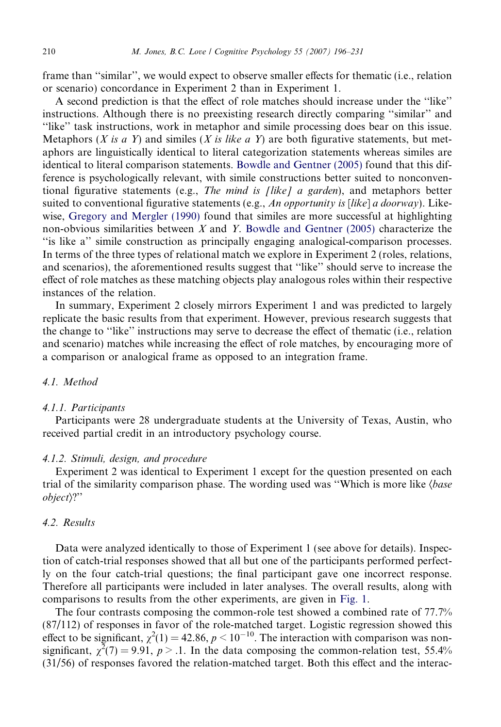frame than ''similar'', we would expect to observe smaller effects for thematic (i.e., relation or scenario) concordance in Experiment 2 than in Experiment 1.

A second prediction is that the effect of role matches should increase under the ''like'' instructions. Although there is no preexisting research directly comparing ''similar'' and ''like'' task instructions, work in metaphor and simile processing does bear on this issue. Metaphors (X is a Y) and similes (X is like a Y) are both figurative statements, but metaphors are linguistically identical to literal categorization statements whereas similes are identical to literal comparison statements. [Bowdle and Gentner \(2005\)](#page-32-0) found that this difference is psychologically relevant, with simile constructions better suited to nonconventional figurative statements (e.g., The mind is [like] a garden), and metaphors better suited to conventional figurative statements (e.g., An opportunity is [like] a doorway). Likewise, [Gregory and Mergler \(1990\)](#page-33-0) found that similes are more successful at highlighting non-obvious similarities between  $X$  and  $Y$ . [Bowdle and Gentner \(2005\)](#page-32-0) characterize the ''is like a'' simile construction as principally engaging analogical-comparison processes. In terms of the three types of relational match we explore in Experiment 2 (roles, relations, and scenarios), the aforementioned results suggest that ''like'' should serve to increase the effect of role matches as these matching objects play analogous roles within their respective instances of the relation.

In summary, Experiment 2 closely mirrors Experiment 1 and was predicted to largely replicate the basic results from that experiment. However, previous research suggests that the change to ''like'' instructions may serve to decrease the effect of thematic (i.e., relation and scenario) matches while increasing the effect of role matches, by encouraging more of a comparison or analogical frame as opposed to an integration frame.

## 4.1. Method

#### 4.1.1. Participants

Participants were 28 undergraduate students at the University of Texas, Austin, who received partial credit in an introductory psychology course.

## 4.1.2. Stimuli, design, and procedure

Experiment 2 was identical to Experiment 1 except for the question presented on each trial of the similarity comparison phase. The wording used was "Which is more like  $\langle base$  $object$ <sup>?</sup>

# 4.2. Results

Data were analyzed identically to those of Experiment 1 (see above for details). Inspection of catch-trial responses showed that all but one of the participants performed perfectly on the four catch-trial questions; the final participant gave one incorrect response. Therefore all participants were included in later analyses. The overall results, along with comparisons to results from the other experiments, are given in [Fig. 1.](#page-10-0)

The four contrasts composing the common-role test showed a combined rate of 77.7% (87/112) of responses in favor of the role-matched target. Logistic regression showed this effect to be significant,  $\chi^2(1) = 42.86$ ,  $p < 10^{-10}$ . The interaction with comparison was nonsignificant,  $\chi^2(7) = 9.91$ ,  $p > 1$ . In the data composing the common-relation test, 55.4% (31/56) of responses favored the relation-matched target. Both this effect and the interac-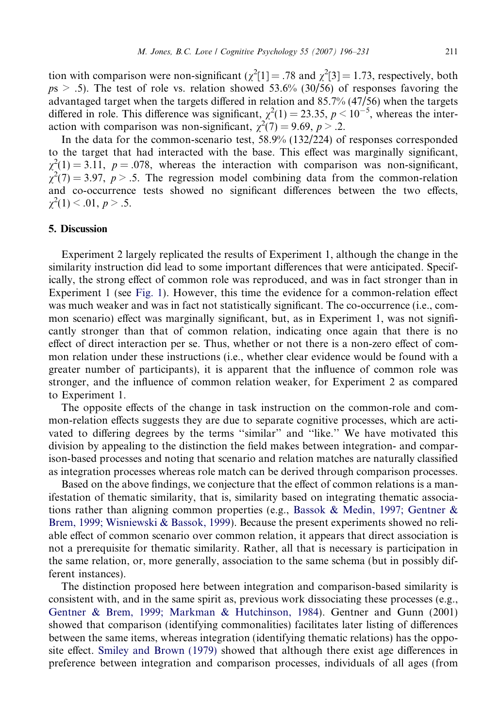tion with comparison were non-significant ( $\chi^2[1] = .78$  and  $\chi^2[3] = 1.73$ , respectively, both  $ps > .5$ ). The test of role vs. relation showed 53.6% (30/56) of responses favoring the advantaged target when the targets differed in relation and 85.7% (47/56) when the targets differed in role. This difference was significant,  $\chi^2(1) = 23.35$ ,  $p \le 10^{-5}$ , whereas the interaction with comparison was non-significant,  $\chi^2(7) = 9.69$ ,  $p > .2$ .

In the data for the common-scenario test, 58.9% (132/224) of responses corresponded to the target that had interacted with the base. This effect was marginally significant,  $\chi^2(1) = 3.11$ ,  $p = .078$ , whereas the interaction with comparison was non-significant,  $\chi^2(7) = 3.97$ ,  $p > .5$ . The regression model combining data from the common-relation and co-occurrence tests showed no significant differences between the two effects,  $\chi^2(1)$  < .01,  $p > .5$ .

#### 5. Discussion

Experiment 2 largely replicated the results of Experiment 1, although the change in the similarity instruction did lead to some important differences that were anticipated. Specifically, the strong effect of common role was reproduced, and was in fact stronger than in Experiment 1 (see [Fig. 1](#page-10-0)). However, this time the evidence for a common-relation effect was much weaker and was in fact not statistically significant. The co-occurrence (i.e., common scenario) effect was marginally significant, but, as in Experiment 1, was not significantly stronger than that of common relation, indicating once again that there is no effect of direct interaction per se. Thus, whether or not there is a non-zero effect of common relation under these instructions (i.e., whether clear evidence would be found with a greater number of participants), it is apparent that the influence of common role was stronger, and the influence of common relation weaker, for Experiment 2 as compared to Experiment 1.

The opposite effects of the change in task instruction on the common-role and common-relation effects suggests they are due to separate cognitive processes, which are activated to differing degrees by the terms ''similar'' and ''like.'' We have motivated this division by appealing to the distinction the field makes between integration- and comparison-based processes and noting that scenario and relation matches are naturally classified as integration processes whereas role match can be derived through comparison processes.

Based on the above findings, we conjecture that the effect of common relations is a manifestation of thematic similarity, that is, similarity based on integrating thematic associations rather than aligning common properties (e.g., [Bassok & Medin, 1997; Gentner &](#page-32-0) [Brem, 1999; Wisniewski & Bassok, 1999](#page-32-0)). Because the present experiments showed no reliable effect of common scenario over common relation, it appears that direct association is not a prerequisite for thematic similarity. Rather, all that is necessary is participation in the same relation, or, more generally, association to the same schema (but in possibly different instances).

The distinction proposed here between integration and comparison-based similarity is consistent with, and in the same spirit as, previous work dissociating these processes (e.g., [Gentner & Brem, 1999; Markman & Hutchinson, 1984\)](#page-32-0). Gentner and Gunn (2001) showed that comparison (identifying commonalities) facilitates later listing of differences between the same items, whereas integration (identifying thematic relations) has the opposite effect. [Smiley and Brown \(1979\)](#page-35-0) showed that although there exist age differences in preference between integration and comparison processes, individuals of all ages (from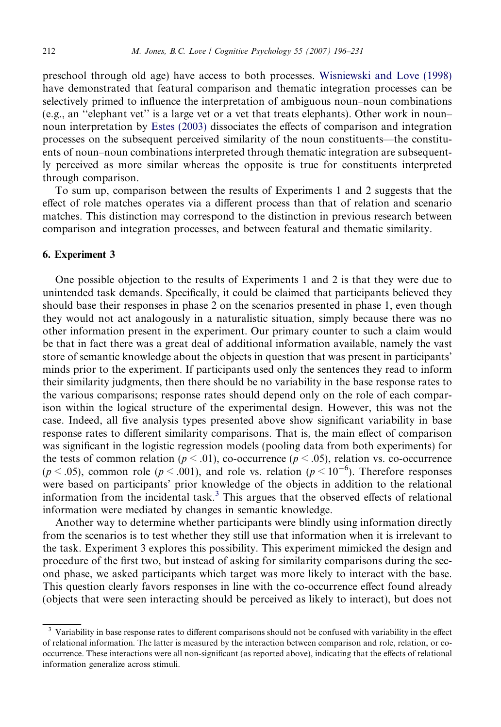preschool through old age) have access to both processes. [Wisniewski and Love \(1998\)](#page-35-0) have demonstrated that featural comparison and thematic integration processes can be selectively primed to influence the interpretation of ambiguous noun–noun combinations (e.g., an ''elephant vet'' is a large vet or a vet that treats elephants). Other work in noun– noun interpretation by [Estes \(2003\)](#page-32-0) dissociates the effects of comparison and integration processes on the subsequent perceived similarity of the noun constituents—the constituents of noun–noun combinations interpreted through thematic integration are subsequently perceived as more similar whereas the opposite is true for constituents interpreted through comparison.

To sum up, comparison between the results of Experiments 1 and 2 suggests that the effect of role matches operates via a different process than that of relation and scenario matches. This distinction may correspond to the distinction in previous research between comparison and integration processes, and between featural and thematic similarity.

# 6. Experiment 3

One possible objection to the results of Experiments 1 and 2 is that they were due to unintended task demands. Specifically, it could be claimed that participants believed they should base their responses in phase 2 on the scenarios presented in phase 1, even though they would not act analogously in a naturalistic situation, simply because there was no other information present in the experiment. Our primary counter to such a claim would be that in fact there was a great deal of additional information available, namely the vast store of semantic knowledge about the objects in question that was present in participants' minds prior to the experiment. If participants used only the sentences they read to inform their similarity judgments, then there should be no variability in the base response rates to the various comparisons; response rates should depend only on the role of each comparison within the logical structure of the experimental design. However, this was not the case. Indeed, all five analysis types presented above show significant variability in base response rates to different similarity comparisons. That is, the main effect of comparison was significant in the logistic regression models (pooling data from both experiments) for the tests of common relation ( $p < .01$ ), co-occurrence ( $p < .05$ ), relation vs. co-occurrence  $(p < .05)$ , common role  $(p < .001)$ , and role vs. relation  $(p < 10^{-6})$ . Therefore responses were based on participants' prior knowledge of the objects in addition to the relational information from the incidental task.<sup>3</sup> This argues that the observed effects of relational information were mediated by changes in semantic knowledge.

Another way to determine whether participants were blindly using information directly from the scenarios is to test whether they still use that information when it is irrelevant to the task. Experiment 3 explores this possibility. This experiment mimicked the design and procedure of the first two, but instead of asking for similarity comparisons during the second phase, we asked participants which target was more likely to interact with the base. This question clearly favors responses in line with the co-occurrence effect found already (objects that were seen interacting should be perceived as likely to interact), but does not

<sup>&</sup>lt;sup>3</sup> Variability in base response rates to different comparisons should not be confused with variability in the effect of relational information. The latter is measured by the interaction between comparison and role, relation, or cooccurrence. These interactions were all non-significant (as reported above), indicating that the effects of relational information generalize across stimuli.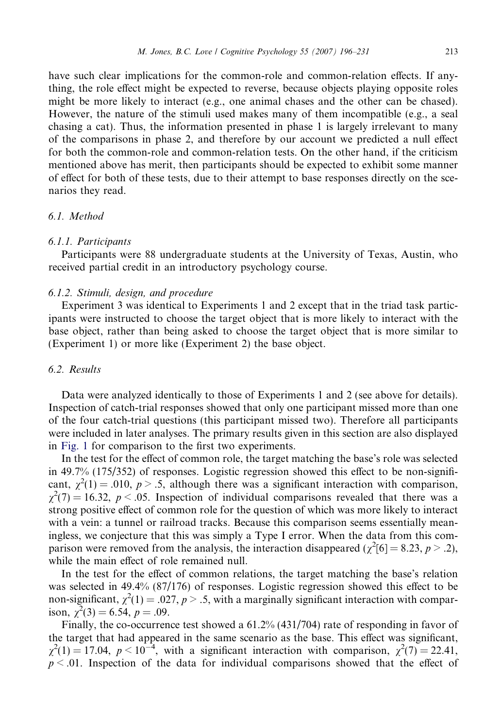have such clear implications for the common-role and common-relation effects. If anything, the role effect might be expected to reverse, because objects playing opposite roles might be more likely to interact (e.g., one animal chases and the other can be chased). However, the nature of the stimuli used makes many of them incompatible (e.g., a seal chasing a cat). Thus, the information presented in phase 1 is largely irrelevant to many of the comparisons in phase 2, and therefore by our account we predicted a null effect for both the common-role and common-relation tests. On the other hand, if the criticism mentioned above has merit, then participants should be expected to exhibit some manner of effect for both of these tests, due to their attempt to base responses directly on the scenarios they read.

# 6.1. Method

#### 6.1.1. Participants

Participants were 88 undergraduate students at the University of Texas, Austin, who received partial credit in an introductory psychology course.

## 6.1.2. Stimuli, design, and procedure

Experiment 3 was identical to Experiments 1 and 2 except that in the triad task participants were instructed to choose the target object that is more likely to interact with the base object, rather than being asked to choose the target object that is more similar to (Experiment 1) or more like (Experiment 2) the base object.

## 6.2. Results

Data were analyzed identically to those of Experiments 1 and 2 (see above for details). Inspection of catch-trial responses showed that only one participant missed more than one of the four catch-trial questions (this participant missed two). Therefore all participants were included in later analyses. The primary results given in this section are also displayed in [Fig. 1](#page-10-0) for comparison to the first two experiments.

In the test for the effect of common role, the target matching the base's role was selected in 49.7% (175/352) of responses. Logistic regression showed this effect to be non-significant,  $\chi^2(1) = .010$ ,  $p > .5$ , although there was a significant interaction with comparison,  $\chi^2(7) = 16.32$ ,  $p < .05$ . Inspection of individual comparisons revealed that there was a strong positive effect of common role for the question of which was more likely to interact with a vein: a tunnel or railroad tracks. Because this comparison seems essentially meaningless, we conjecture that this was simply a Type I error. When the data from this comparison were removed from the analysis, the interaction disappeared ( $\chi^2$ [6] = 8.23, p > .2), while the main effect of role remained null.

In the test for the effect of common relations, the target matching the base's relation was selected in 49.4% (87/176) of responses. Logistic regression showed this effect to be non-significant,  $\chi^2(1) = .027$ ,  $p > .5$ , with a marginally significant interaction with comparison,  $\chi^2(3) = 6.54$ ,  $p = .09$ .

Finally, the co-occurrence test showed a 61.2% (431/704) rate of responding in favor of the target that had appeared in the same scenario as the base. This effect was significant,  $\chi^2(1) = 17.04$ ,  $p < 10^{-4}$ , with a significant interaction with comparison,  $\chi^2(7) = 22.41$ ,  $p < .01$ . Inspection of the data for individual comparisons showed that the effect of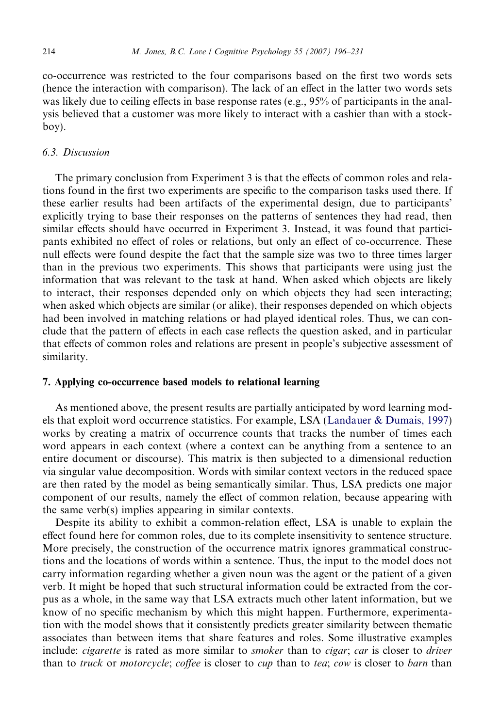co-occurrence was restricted to the four comparisons based on the first two words sets (hence the interaction with comparison). The lack of an effect in the latter two words sets was likely due to ceiling effects in base response rates (e.g., 95% of participants in the analysis believed that a customer was more likely to interact with a cashier than with a stockboy).

# 6.3. Discussion

The primary conclusion from Experiment 3 is that the effects of common roles and relations found in the first two experiments are specific to the comparison tasks used there. If these earlier results had been artifacts of the experimental design, due to participants' explicitly trying to base their responses on the patterns of sentences they had read, then similar effects should have occurred in Experiment 3. Instead, it was found that participants exhibited no effect of roles or relations, but only an effect of co-occurrence. These null effects were found despite the fact that the sample size was two to three times larger than in the previous two experiments. This shows that participants were using just the information that was relevant to the task at hand. When asked which objects are likely to interact, their responses depended only on which objects they had seen interacting; when asked which objects are similar (or alike), their responses depended on which objects had been involved in matching relations or had played identical roles. Thus, we can conclude that the pattern of effects in each case reflects the question asked, and in particular that effects of common roles and relations are present in people's subjective assessment of similarity.

# 7. Applying co-occurrence based models to relational learning

As mentioned above, the present results are partially anticipated by word learning models that exploit word occurrence statistics. For example, LSA ([Landauer & Dumais, 1997](#page-33-0)) works by creating a matrix of occurrence counts that tracks the number of times each word appears in each context (where a context can be anything from a sentence to an entire document or discourse). This matrix is then subjected to a dimensional reduction via singular value decomposition. Words with similar context vectors in the reduced space are then rated by the model as being semantically similar. Thus, LSA predicts one major component of our results, namely the effect of common relation, because appearing with the same verb(s) implies appearing in similar contexts.

Despite its ability to exhibit a common-relation effect, LSA is unable to explain the effect found here for common roles, due to its complete insensitivity to sentence structure. More precisely, the construction of the occurrence matrix ignores grammatical constructions and the locations of words within a sentence. Thus, the input to the model does not carry information regarding whether a given noun was the agent or the patient of a given verb. It might be hoped that such structural information could be extracted from the corpus as a whole, in the same way that LSA extracts much other latent information, but we know of no specific mechanism by which this might happen. Furthermore, experimentation with the model shows that it consistently predicts greater similarity between thematic associates than between items that share features and roles. Some illustrative examples include: *cigarette* is rated as more similar to *smoker* than to *cigar*; *car* is closer to *driver* than to truck or motorcycle; coffee is closer to cup than to tea; cow is closer to barn than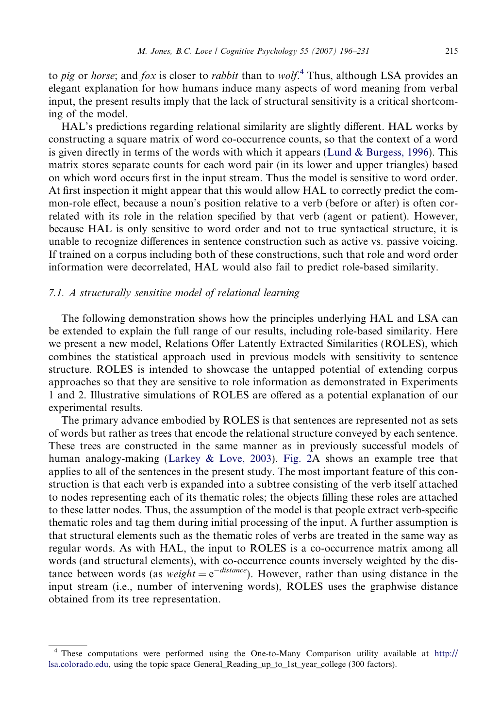to pig or horse; and fox is closer to rabbit than to wolf.<sup>4</sup> Thus, although LSA provides an elegant explanation for how humans induce many aspects of word meaning from verbal input, the present results imply that the lack of structural sensitivity is a critical shortcoming of the model.

HAL's predictions regarding relational similarity are slightly different. HAL works by constructing a square matrix of word co-occurrence counts, so that the context of a word is given directly in terms of the words with which it appears (Lund  $& Burgess, 1996$ ). This matrix stores separate counts for each word pair (in its lower and upper triangles) based on which word occurs first in the input stream. Thus the model is sensitive to word order. At first inspection it might appear that this would allow HAL to correctly predict the common-role effect, because a noun's position relative to a verb (before or after) is often correlated with its role in the relation specified by that verb (agent or patient). However, because HAL is only sensitive to word order and not to true syntactical structure, it is unable to recognize differences in sentence construction such as active vs. passive voicing. If trained on a corpus including both of these constructions, such that role and word order information were decorrelated, HAL would also fail to predict role-based similarity.

# 7.1. A structurally sensitive model of relational learning

The following demonstration shows how the principles underlying HAL and LSA can be extended to explain the full range of our results, including role-based similarity. Here we present a new model, Relations Offer Latently Extracted Similarities (ROLES), which combines the statistical approach used in previous models with sensitivity to sentence structure. ROLES is intended to showcase the untapped potential of extending corpus approaches so that they are sensitive to role information as demonstrated in Experiments 1 and 2. Illustrative simulations of ROLES are offered as a potential explanation of our experimental results.

The primary advance embodied by ROLES is that sentences are represented not as sets of words but rather as trees that encode the relational structure conveyed by each sentence. These trees are constructed in the same manner as in previously successful models of human analogy-making [\(Larkey & Love, 2003\)](#page-33-0). [Fig. 2](#page-20-0)A shows an example tree that applies to all of the sentences in the present study. The most important feature of this construction is that each verb is expanded into a subtree consisting of the verb itself attached to nodes representing each of its thematic roles; the objects filling these roles are attached to these latter nodes. Thus, the assumption of the model is that people extract verb-specific thematic roles and tag them during initial processing of the input. A further assumption is that structural elements such as the thematic roles of verbs are treated in the same way as regular words. As with HAL, the input to ROLES is a co-occurrence matrix among all words (and structural elements), with co-occurrence counts inversely weighted by the distance between words (as *weight* =  $e^{-distance}$ ). However, rather than using distance in the input stream (i.e., number of intervening words), ROLES uses the graphwise distance obtained from its tree representation.

<sup>4</sup> These computations were performed using the One-to-Many Comparison utility available at [http://](http://lsa.colorado.edu) [lsa.colorado.edu](http://lsa.colorado.edu), using the topic space General\_Reading\_up\_to\_1st\_year\_college (300 factors).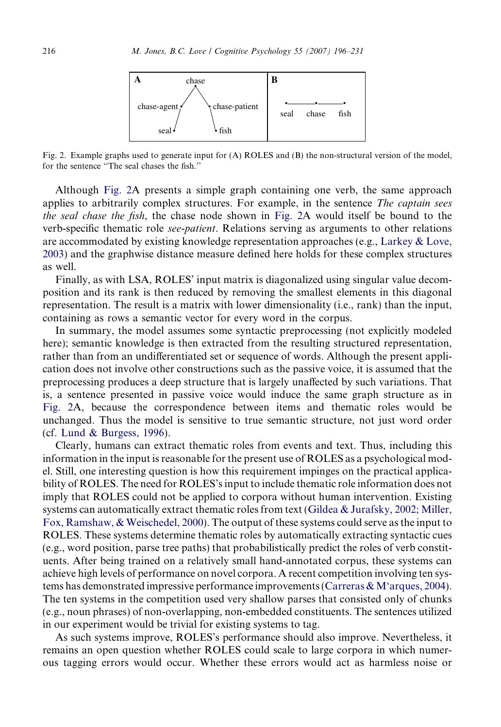<span id="page-20-0"></span>

Fig. 2. Example graphs used to generate input for (A) ROLES and (B) the non-structural version of the model, for the sentence ''The seal chases the fish.''

Although Fig. 2A presents a simple graph containing one verb, the same approach applies to arbitrarily complex structures. For example, in the sentence *The captain sees* the seal chase the fish, the chase node shown in Fig. 2A would itself be bound to the verb-specific thematic role *see-patient*. Relations serving as arguments to other relations are accommodated by existing knowledge representation approaches (e.g., [Larkey & Love,](#page-33-0) [2003\)](#page-33-0) and the graphwise distance measure defined here holds for these complex structures as well.

Finally, as with LSA, ROLES' input matrix is diagonalized using singular value decomposition and its rank is then reduced by removing the smallest elements in this diagonal representation. The result is a matrix with lower dimensionality (i.e., rank) than the input, containing as rows a semantic vector for every word in the corpus.

In summary, the model assumes some syntactic preprocessing (not explicitly modeled here); semantic knowledge is then extracted from the resulting structured representation, rather than from an undifferentiated set or sequence of words. Although the present application does not involve other constructions such as the passive voice, it is assumed that the preprocessing produces a deep structure that is largely unaffected by such variations. That is, a sentence presented in passive voice would induce the same graph structure as in Fig. 2A, because the correspondence between items and thematic roles would be unchanged. Thus the model is sensitive to true semantic structure, not just word order (cf. [Lund & Burgess, 1996](#page-33-0)).

Clearly, humans can extract thematic roles from events and text. Thus, including this information in the input is reasonable for the present use of ROLES as a psychological model. Still, one interesting question is how this requirement impinges on the practical applicability of ROLES. The need for ROLES's input to include thematic role information does not imply that ROLES could not be applied to corpora without human intervention. Existing systems can automatically extract thematic roles from text ([Gildea & Jurafsky, 2002; Miller,](#page-32-0) [Fox, Ramshaw, & Weischedel, 2000\)](#page-32-0). The output of these systems could serve as the input to ROLES. These systems determine thematic roles by automatically extracting syntactic cues (e.g., word position, parse tree paths) that probabilistically predict the roles of verb constituents. After being trained on a relatively small hand-annotated corpus, these systems can achieve high levels of performance on novel corpora. A recent competition involving ten systems has demonstrated impressive performance improvements (Carreras & M'arques, 2004). The ten systems in the competition used very shallow parses that consisted only of chunks (e.g., noun phrases) of non-overlapping, non-embedded constituents. The sentences utilized in our experiment would be trivial for existing systems to tag.

As such systems improve, ROLES's performance should also improve. Nevertheless, it remains an open question whether ROLES could scale to large corpora in which numerous tagging errors would occur. Whether these errors would act as harmless noise or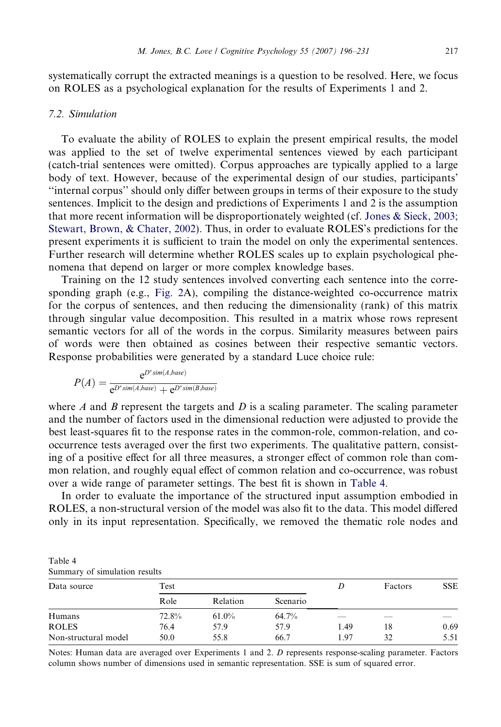<span id="page-21-0"></span>systematically corrupt the extracted meanings is a question to be resolved. Here, we focus on ROLES as a psychological explanation for the results of Experiments 1 and 2.

#### 7.2. Simulation

To evaluate the ability of ROLES to explain the present empirical results, the model was applied to the set of twelve experimental sentences viewed by each participant (catch-trial sentences were omitted). Corpus approaches are typically applied to a large body of text. However, because of the experimental design of our studies, participants' ''internal corpus'' should only differ between groups in terms of their exposure to the study sentences. Implicit to the design and predictions of Experiments 1 and 2 is the assumption that more recent information will be disproportionately weighted (cf. [Jones & Sieck, 2003;](#page-33-0) [Stewart, Brown, & Chater, 2002\)](#page-33-0). Thus, in order to evaluate ROLES's predictions for the present experiments it is sufficient to train the model on only the experimental sentences. Further research will determine whether ROLES scales up to explain psychological phenomena that depend on larger or more complex knowledge bases.

Training on the 12 study sentences involved converting each sentence into the corresponding graph (e.g., [Fig. 2](#page-20-0)A), compiling the distance-weighted co-occurrence matrix for the corpus of sentences, and then reducing the dimensionality (rank) of this matrix through singular value decomposition. This resulted in a matrix whose rows represent semantic vectors for all of the words in the corpus. Similarity measures between pairs of words were then obtained as cosines between their respective semantic vectors. Response probabilities were generated by a standard Luce choice rule:

$$
P(A) = \frac{e^{D^*sim(A,base)}}{e^{D^*sim(A,base)} + e^{D^*sim(B,base)}}
$$

where A and B represent the targets and D is a scaling parameter. The scaling parameter and the number of factors used in the dimensional reduction were adjusted to provide the best least-squares fit to the response rates in the common-role, common-relation, and cooccurrence tests averaged over the first two experiments. The qualitative pattern, consisting of a positive effect for all three measures, a stronger effect of common role than common relation, and roughly equal effect of common relation and co-occurrence, was robust over a wide range of parameter settings. The best fit is shown in Table 4.

In order to evaluate the importance of the structured input assumption embodied in ROLES, a non-structural version of the model was also fit to the data. This model differed only in its input representation. Specifically, we removed the thematic role nodes and

Table 4 Summary of simulation results

| Data source          | Test  |          |          | Factors | <b>SSE</b> |      |  |  |
|----------------------|-------|----------|----------|---------|------------|------|--|--|
|                      | Role  | Relation | Scenario |         |            |      |  |  |
| Humans               | 72.8% | $61.0\%$ | 64.7%    | _       |            |      |  |  |
| <b>ROLES</b>         | 76.4  | 57.9     | 57.9     | 1.49    | 18         | 0.69 |  |  |
| Non-structural model | 50.0  | 55.8     | 66.7     | 1.97    | 32         | 5.51 |  |  |

Notes: Human data are averaged over Experiments 1 and 2. D represents response-scaling parameter. Factors column shows number of dimensions used in semantic representation. SSE is sum of squared error.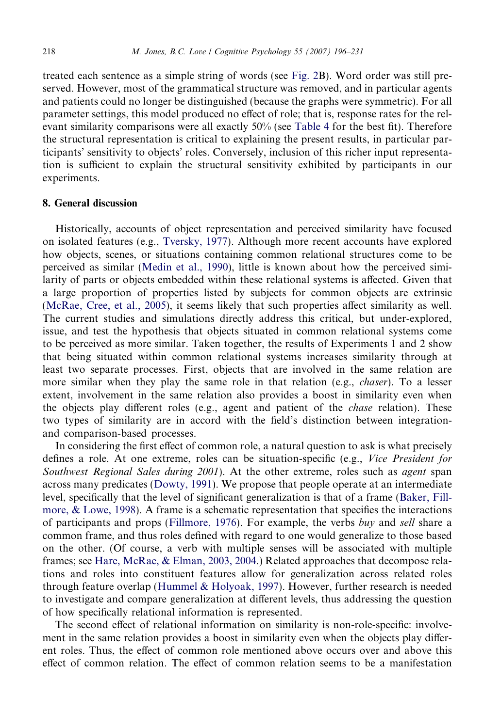treated each sentence as a simple string of words (see [Fig. 2B](#page-20-0)). Word order was still preserved. However, most of the grammatical structure was removed, and in particular agents and patients could no longer be distinguished (because the graphs were symmetric). For all parameter settings, this model produced no effect of role; that is, response rates for the relevant similarity comparisons were all exactly 50% (see [Table 4](#page-21-0) for the best fit). Therefore the structural representation is critical to explaining the present results, in particular participants' sensitivity to objects' roles. Conversely, inclusion of this richer input representation is sufficient to explain the structural sensitivity exhibited by participants in our experiments.

## 8. General discussion

Historically, accounts of object representation and perceived similarity have focused on isolated features (e.g., [Tversky, 1977\)](#page-35-0). Although more recent accounts have explored how objects, scenes, or situations containing common relational structures come to be perceived as similar ([Medin et al., 1990](#page-34-0)), little is known about how the perceived similarity of parts or objects embedded within these relational systems is affected. Given that a large proportion of properties listed by subjects for common objects are extrinsic [\(McRae, Cree, et al., 2005](#page-34-0)), it seems likely that such properties affect similarity as well. The current studies and simulations directly address this critical, but under-explored, issue, and test the hypothesis that objects situated in common relational systems come to be perceived as more similar. Taken together, the results of Experiments 1 and 2 show that being situated within common relational systems increases similarity through at least two separate processes. First, objects that are involved in the same relation are more similar when they play the same role in that relation (e.g., *chaser*). To a lesser extent, involvement in the same relation also provides a boost in similarity even when the objects play different roles (e.g., agent and patient of the *chase* relation). These two types of similarity are in accord with the field's distinction between integrationand comparison-based processes.

In considering the first effect of common role, a natural question to ask is what precisely defines a role. At one extreme, roles can be situation-specific (e.g., Vice President for Southwest Regional Sales during 2001). At the other extreme, roles such as agent span across many predicates ([Dowty, 1991](#page-32-0)). We propose that people operate at an intermediate level, specifically that the level of significant generalization is that of a frame [\(Baker, Fill](#page-31-0)[more, & Lowe, 1998\)](#page-31-0). A frame is a schematic representation that specifies the interactions of participants and props ([Fillmore, 1976\)](#page-32-0). For example, the verbs  $buy$  and sell share a common frame, and thus roles defined with regard to one would generalize to those based on the other. (Of course, a verb with multiple senses will be associated with multiple frames; see [Hare, McRae, & Elman, 2003, 2004](#page-33-0).) Related approaches that decompose relations and roles into constituent features allow for generalization across related roles through feature overlap [\(Hummel & Holyoak, 1997](#page-33-0)). However, further research is needed to investigate and compare generalization at different levels, thus addressing the question of how specifically relational information is represented.

The second effect of relational information on similarity is non-role-specific: involvement in the same relation provides a boost in similarity even when the objects play different roles. Thus, the effect of common role mentioned above occurs over and above this effect of common relation. The effect of common relation seems to be a manifestation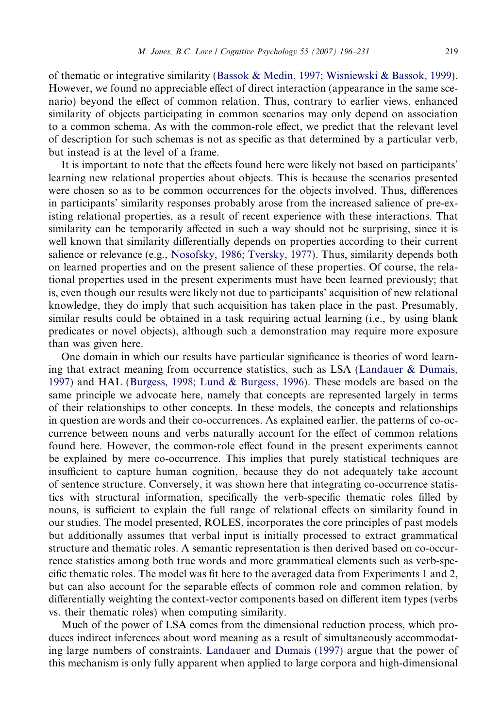of thematic or integrative similarity [\(Bassok & Medin, 1997; Wisniewski & Bassok, 1999\)](#page-32-0). However, we found no appreciable effect of direct interaction (appearance in the same scenario) beyond the effect of common relation. Thus, contrary to earlier views, enhanced similarity of objects participating in common scenarios may only depend on association to a common schema. As with the common-role effect, we predict that the relevant level of description for such schemas is not as specific as that determined by a particular verb, but instead is at the level of a frame.

It is important to note that the effects found here were likely not based on participants' learning new relational properties about objects. This is because the scenarios presented were chosen so as to be common occurrences for the objects involved. Thus, differences in participants' similarity responses probably arose from the increased salience of pre-existing relational properties, as a result of recent experience with these interactions. That similarity can be temporarily affected in such a way should not be surprising, since it is well known that similarity differentially depends on properties according to their current salience or relevance (e.g., [Nosofsky, 1986; Tversky, 1977](#page-34-0)). Thus, similarity depends both on learned properties and on the present salience of these properties. Of course, the relational properties used in the present experiments must have been learned previously; that is, even though our results were likely not due to participants' acquisition of new relational knowledge, they do imply that such acquisition has taken place in the past. Presumably, similar results could be obtained in a task requiring actual learning (i.e., by using blank predicates or novel objects), although such a demonstration may require more exposure than was given here.

One domain in which our results have particular significance is theories of word learning that extract meaning from occurrence statistics, such as LSA [\(Landauer & Dumais,](#page-33-0) [1997](#page-33-0)) and HAL [\(Burgess, 1998; Lund & Burgess, 1996](#page-32-0)). These models are based on the same principle we advocate here, namely that concepts are represented largely in terms of their relationships to other concepts. In these models, the concepts and relationships in question are words and their co-occurrences. As explained earlier, the patterns of co-occurrence between nouns and verbs naturally account for the effect of common relations found here. However, the common-role effect found in the present experiments cannot be explained by mere co-occurrence. This implies that purely statistical techniques are insufficient to capture human cognition, because they do not adequately take account of sentence structure. Conversely, it was shown here that integrating co-occurrence statistics with structural information, specifically the verb-specific thematic roles filled by nouns, is sufficient to explain the full range of relational effects on similarity found in our studies. The model presented, ROLES, incorporates the core principles of past models but additionally assumes that verbal input is initially processed to extract grammatical structure and thematic roles. A semantic representation is then derived based on co-occurrence statistics among both true words and more grammatical elements such as verb-specific thematic roles. The model was fit here to the averaged data from Experiments 1 and 2, but can also account for the separable effects of common role and common relation, by differentially weighting the context-vector components based on different item types (verbs vs. their thematic roles) when computing similarity.

Much of the power of LSA comes from the dimensional reduction process, which produces indirect inferences about word meaning as a result of simultaneously accommodating large numbers of constraints. [Landauer and Dumais \(1997\)](#page-33-0) argue that the power of this mechanism is only fully apparent when applied to large corpora and high-dimensional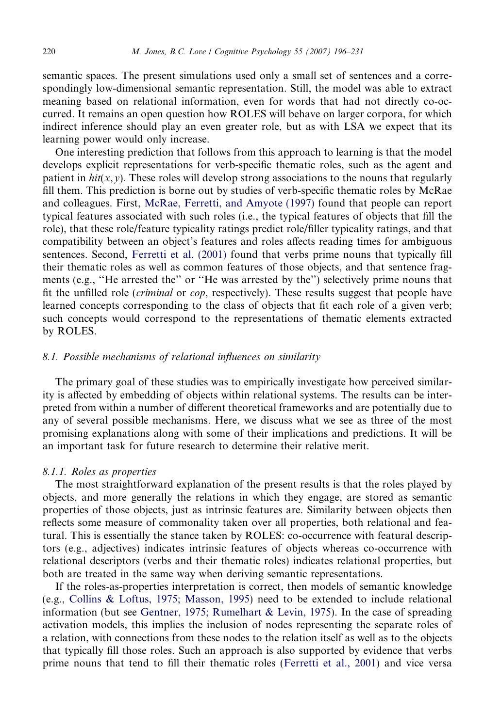semantic spaces. The present simulations used only a small set of sentences and a correspondingly low-dimensional semantic representation. Still, the model was able to extract meaning based on relational information, even for words that had not directly co-occurred. It remains an open question how ROLES will behave on larger corpora, for which indirect inference should play an even greater role, but as with LSA we expect that its learning power would only increase.

One interesting prediction that follows from this approach to learning is that the model develops explicit representations for verb-specific thematic roles, such as the agent and patient in  $hit(x, y)$ . These roles will develop strong associations to the nouns that regularly fill them. This prediction is borne out by studies of verb-specific thematic roles by McRae and colleagues. First, [McRae, Ferretti, and Amyote \(1997\)](#page-33-0) found that people can report typical features associated with such roles (i.e., the typical features of objects that fill the role), that these role/feature typicality ratings predict role/filler typicality ratings, and that compatibility between an object's features and roles affects reading times for ambiguous sentences. Second, [Ferretti et al. \(2001\)](#page-32-0) found that verbs prime nouns that typically fill their thematic roles as well as common features of those objects, and that sentence fragments (e.g., ''He arrested the'' or ''He was arrested by the'') selectively prime nouns that fit the unfilled role *(criminal or cop*, respectively). These results suggest that people have learned concepts corresponding to the class of objects that fit each role of a given verb; such concepts would correspond to the representations of thematic elements extracted by ROLES.

# 8.1. Possible mechanisms of relational influences on similarity

The primary goal of these studies was to empirically investigate how perceived similarity is affected by embedding of objects within relational systems. The results can be interpreted from within a number of different theoretical frameworks and are potentially due to any of several possible mechanisms. Here, we discuss what we see as three of the most promising explanations along with some of their implications and predictions. It will be an important task for future research to determine their relative merit.

## 8.1.1. Roles as properties

The most straightforward explanation of the present results is that the roles played by objects, and more generally the relations in which they engage, are stored as semantic properties of those objects, just as intrinsic features are. Similarity between objects then reflects some measure of commonality taken over all properties, both relational and featural. This is essentially the stance taken by ROLES: co-occurrence with featural descriptors (e.g., adjectives) indicates intrinsic features of objects whereas co-occurrence with relational descriptors (verbs and their thematic roles) indicates relational properties, but both are treated in the same way when deriving semantic representations.

If the roles-as-properties interpretation is correct, then models of semantic knowledge (e.g., [Collins & Loftus, 1975; Masson, 1995](#page-32-0)) need to be extended to include relational information (but see [Gentner, 1975; Rumelhart & Levin, 1975](#page-32-0)). In the case of spreading activation models, this implies the inclusion of nodes representing the separate roles of a relation, with connections from these nodes to the relation itself as well as to the objects that typically fill those roles. Such an approach is also supported by evidence that verbs prime nouns that tend to fill their thematic roles [\(Ferretti et al., 2001](#page-32-0)) and vice versa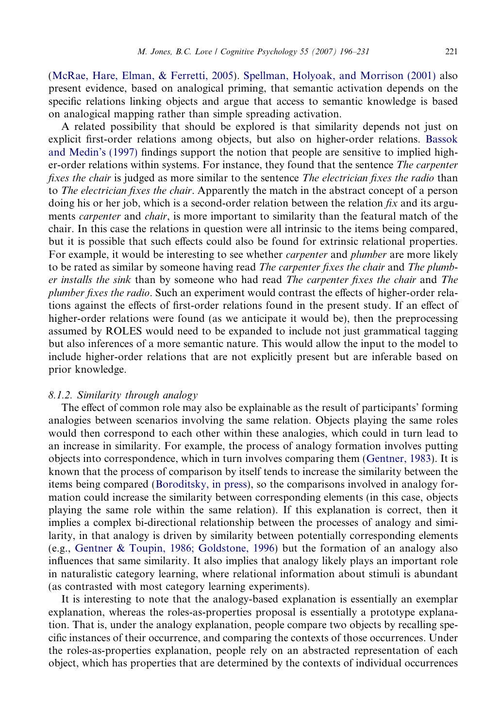([McRae, Hare, Elman, & Ferretti, 2005](#page-34-0)). [Spellman, Holyoak, and Morrison \(2001\)](#page-35-0) also present evidence, based on analogical priming, that semantic activation depends on the specific relations linking objects and argue that access to semantic knowledge is based on analogical mapping rather than simple spreading activation.

A related possibility that should be explored is that similarity depends not just on explicit first-order relations among objects, but also on higher-order relations. [Bassok](#page-32-0) [and Medin's \(1997\)](#page-32-0) findings support the notion that people are sensitive to implied higher-order relations within systems. For instance, they found that the sentence The carpenter fixes the chair is judged as more similar to the sentence The electrician fixes the radio than to *The electrician fixes the chair.* Apparently the match in the abstract concept of a person doing his or her job, which is a second-order relation between the relation  $fix$  and its arguments *carpenter* and *chair*, is more important to similarity than the featural match of the chair. In this case the relations in question were all intrinsic to the items being compared, but it is possible that such effects could also be found for extrinsic relational properties. For example, it would be interesting to see whether *carpenter* and *plumber* are more likely to be rated as similar by someone having read *The carpenter fixes the chair* and *The plumb*er installs the sink than by someone who had read The carpenter fixes the chair and The plumber fixes the radio. Such an experiment would contrast the effects of higher-order relations against the effects of first-order relations found in the present study. If an effect of higher-order relations were found (as we anticipate it would be), then the preprocessing assumed by ROLES would need to be expanded to include not just grammatical tagging but also inferences of a more semantic nature. This would allow the input to the model to include higher-order relations that are not explicitly present but are inferable based on prior knowledge.

# 8.1.2. Similarity through analogy

The effect of common role may also be explainable as the result of participants' forming analogies between scenarios involving the same relation. Objects playing the same roles would then correspond to each other within these analogies, which could in turn lead to an increase in similarity. For example, the process of analogy formation involves putting objects into correspondence, which in turn involves comparing them [\(Gentner, 1983\)](#page-32-0). It is known that the process of comparison by itself tends to increase the similarity between the items being compared [\(Boroditsky, in press\)](#page-32-0), so the comparisons involved in analogy formation could increase the similarity between corresponding elements (in this case, objects playing the same role within the same relation). If this explanation is correct, then it implies a complex bi-directional relationship between the processes of analogy and similarity, in that analogy is driven by similarity between potentially corresponding elements (e.g., [Gentner & Toupin, 1986; Goldstone, 1996](#page-32-0)) but the formation of an analogy also influences that same similarity. It also implies that analogy likely plays an important role in naturalistic category learning, where relational information about stimuli is abundant (as contrasted with most category learning experiments).

It is interesting to note that the analogy-based explanation is essentially an exemplar explanation, whereas the roles-as-properties proposal is essentially a prototype explanation. That is, under the analogy explanation, people compare two objects by recalling specific instances of their occurrence, and comparing the contexts of those occurrences. Under the roles-as-properties explanation, people rely on an abstracted representation of each object, which has properties that are determined by the contexts of individual occurrences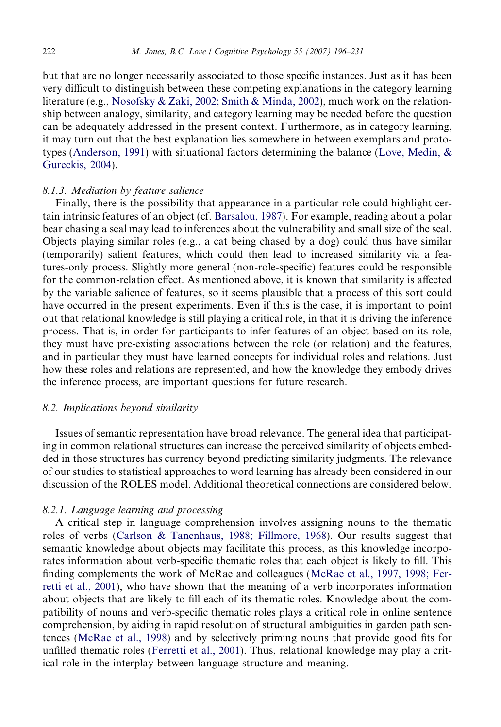but that are no longer necessarily associated to those specific instances. Just as it has been very difficult to distinguish between these competing explanations in the category learning literature (e.g., [Nosofsky & Zaki, 2002; Smith & Minda, 2002](#page-34-0)), much work on the relationship between analogy, similarity, and category learning may be needed before the question can be adequately addressed in the present context. Furthermore, as in category learning, it may turn out that the best explanation lies somewhere in between exemplars and prototypes [\(Anderson, 1991\)](#page-31-0) with situational factors determining the balance ([Love, Medin, &](#page-33-0) [Gureckis, 2004](#page-33-0)).

## 8.1.3. Mediation by feature salience

Finally, there is the possibility that appearance in a particular role could highlight certain intrinsic features of an object (cf. [Barsalou, 1987\)](#page-32-0). For example, reading about a polar bear chasing a seal may lead to inferences about the vulnerability and small size of the seal. Objects playing similar roles (e.g., a cat being chased by a dog) could thus have similar (temporarily) salient features, which could then lead to increased similarity via a features-only process. Slightly more general (non-role-specific) features could be responsible for the common-relation effect. As mentioned above, it is known that similarity is affected by the variable salience of features, so it seems plausible that a process of this sort could have occurred in the present experiments. Even if this is the case, it is important to point out that relational knowledge is still playing a critical role, in that it is driving the inference process. That is, in order for participants to infer features of an object based on its role, they must have pre-existing associations between the role (or relation) and the features, and in particular they must have learned concepts for individual roles and relations. Just how these roles and relations are represented, and how the knowledge they embody drives the inference process, are important questions for future research.

# 8.2. Implications beyond similarity

Issues of semantic representation have broad relevance. The general idea that participating in common relational structures can increase the perceived similarity of objects embedded in those structures has currency beyond predicting similarity judgments. The relevance of our studies to statistical approaches to word learning has already been considered in our discussion of the ROLES model. Additional theoretical connections are considered below.

#### 8.2.1. Language learning and processing

A critical step in language comprehension involves assigning nouns to the thematic roles of verbs ([Carlson & Tanenhaus, 1988; Fillmore, 1968](#page-32-0)). Our results suggest that semantic knowledge about objects may facilitate this process, as this knowledge incorporates information about verb-specific thematic roles that each object is likely to fill. This finding complements the work of McRae and colleagues [\(McRae et al., 1997, 1998; Fer](#page-33-0)[retti et al., 2001\)](#page-33-0), who have shown that the meaning of a verb incorporates information about objects that are likely to fill each of its thematic roles. Knowledge about the compatibility of nouns and verb-specific thematic roles plays a critical role in online sentence comprehension, by aiding in rapid resolution of structural ambiguities in garden path sentences ([McRae et al., 1998](#page-34-0)) and by selectively priming nouns that provide good fits for unfilled thematic roles ([Ferretti et al., 2001](#page-32-0)). Thus, relational knowledge may play a critical role in the interplay between language structure and meaning.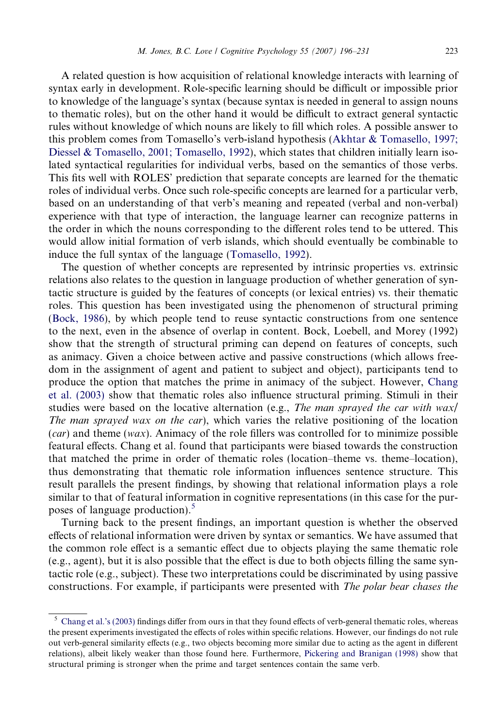A related question is how acquisition of relational knowledge interacts with learning of syntax early in development. Role-specific learning should be difficult or impossible prior to knowledge of the language's syntax (because syntax is needed in general to assign nouns to thematic roles), but on the other hand it would be difficult to extract general syntactic rules without knowledge of which nouns are likely to fill which roles. A possible answer to this problem comes from Tomasello's verb-island hypothesis ([Akhtar & Tomasello, 1997;](#page-31-0) [Diessel & Tomasello, 2001; Tomasello, 1992](#page-31-0)), which states that children initially learn isolated syntactical regularities for individual verbs, based on the semantics of those verbs. This fits well with ROLES' prediction that separate concepts are learned for the thematic roles of individual verbs. Once such role-specific concepts are learned for a particular verb, based on an understanding of that verb's meaning and repeated (verbal and non-verbal) experience with that type of interaction, the language learner can recognize patterns in the order in which the nouns corresponding to the different roles tend to be uttered. This would allow initial formation of verb islands, which should eventually be combinable to induce the full syntax of the language [\(Tomasello, 1992\)](#page-35-0).

The question of whether concepts are represented by intrinsic properties vs. extrinsic relations also relates to the question in language production of whether generation of syntactic structure is guided by the features of concepts (or lexical entries) vs. their thematic roles. This question has been investigated using the phenomenon of structural priming ([Bock, 1986](#page-32-0)), by which people tend to reuse syntactic constructions from one sentence to the next, even in the absence of overlap in content. Bock, Loebell, and Morey (1992) show that the strength of structural priming can depend on features of concepts, such as animacy. Given a choice between active and passive constructions (which allows freedom in the assignment of agent and patient to subject and object), participants tend to produce the option that matches the prime in animacy of the subject. However, [Chang](#page-32-0) [et al. \(2003\)](#page-32-0) show that thematic roles also influence structural priming. Stimuli in their studies were based on the locative alternation (e.g., The man sprayed the car with wax/ The man sprayed wax on the car), which varies the relative positioning of the location  $(car)$  and theme  $(wax)$ . Animacy of the role fillers was controlled for to minimize possible featural effects. Chang et al. found that participants were biased towards the construction that matched the prime in order of thematic roles (location–theme vs. theme–location), thus demonstrating that thematic role information influences sentence structure. This result parallels the present findings, by showing that relational information plays a role similar to that of featural information in cognitive representations (in this case for the purposes of language production).<sup>5</sup>

Turning back to the present findings, an important question is whether the observed effects of relational information were driven by syntax or semantics. We have assumed that the common role effect is a semantic effect due to objects playing the same thematic role (e.g., agent), but it is also possible that the effect is due to both objects filling the same syntactic role (e.g., subject). These two interpretations could be discriminated by using passive constructions. For example, if participants were presented with The polar bear chases the

 $5$  [Chang et al.'s \(2003\)](#page-32-0) findings differ from ours in that they found effects of verb-general thematic roles, whereas the present experiments investigated the effects of roles within specific relations. However, our findings do not rule out verb-general similarity effects (e.g., two objects becoming more similar due to acting as the agent in different relations), albeit likely weaker than those found here. Furthermore, [Pickering and Branigan \(1998\)](#page-34-0) show that structural priming is stronger when the prime and target sentences contain the same verb.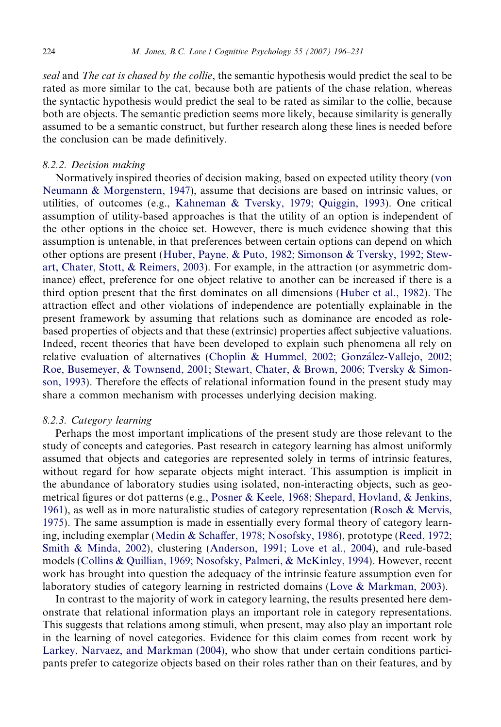seal and The cat is chased by the collie, the semantic hypothesis would predict the seal to be rated as more similar to the cat, because both are patients of the chase relation, whereas the syntactic hypothesis would predict the seal to be rated as similar to the collie, because both are objects. The semantic prediction seems more likely, because similarity is generally assumed to be a semantic construct, but further research along these lines is needed before the conclusion can be made definitively.

## 8.2.2. Decision making

Normatively inspired theories of decision making, based on expected utility theory [\(von](#page-34-0) [Neumann & Morgenstern, 1947\)](#page-34-0), assume that decisions are based on intrinsic values, or utilities, of outcomes (e.g., [Kahneman & Tversky, 1979; Quiggin, 1993\)](#page-33-0). One critical assumption of utility-based approaches is that the utility of an option is independent of the other options in the choice set. However, there is much evidence showing that this assumption is untenable, in that preferences between certain options can depend on which other options are present [\(Huber, Payne, & Puto, 1982; Simonson & Tversky, 1992; Stew](#page-33-0)[art, Chater, Stott, & Reimers, 2003\)](#page-33-0). For example, in the attraction (or asymmetric dominance) effect, preference for one object relative to another can be increased if there is a third option present that the first dominates on all dimensions ([Huber et al., 1982](#page-33-0)). The attraction effect and other violations of independence are potentially explainable in the present framework by assuming that relations such as dominance are encoded as rolebased properties of objects and that these (extrinsic) properties affect subjective valuations. Indeed, recent theories that have been developed to explain such phenomena all rely on relative evaluation of alternatives (Choplin & Hummel, 2002; González-Vallejo, 2002; [Roe, Busemeyer, & Townsend, 2001; Stewart, Chater, & Brown, 2006; Tversky & Simon](#page-32-0)[son, 1993](#page-32-0)). Therefore the effects of relational information found in the present study may share a common mechanism with processes underlying decision making.

# 8.2.3. Category learning

Perhaps the most important implications of the present study are those relevant to the study of concepts and categories. Past research in category learning has almost uniformly assumed that objects and categories are represented solely in terms of intrinsic features, without regard for how separate objects might interact. This assumption is implicit in the abundance of laboratory studies using isolated, non-interacting objects, such as geometrical figures or dot patterns (e.g., [Posner & Keele, 1968; Shepard, Hovland, & Jenkins,](#page-34-0) [1961\)](#page-34-0), as well as in more naturalistic studies of category representation [\(Rosch & Mervis,](#page-34-0) [1975\)](#page-34-0). The same assumption is made in essentially every formal theory of category learning, including exemplar [\(Medin & Schaffer, 1978; Nosofsky, 1986](#page-34-0)), prototype ([Reed, 1972;](#page-34-0) [Smith & Minda, 2002](#page-34-0)), clustering [\(Anderson, 1991; Love et al., 2004\)](#page-31-0), and rule-based models ([Collins & Quillian, 1969; Nosofsky, Palmeri, & McKinley, 1994\)](#page-32-0). However, recent work has brought into question the adequacy of the intrinsic feature assumption even for laboratory studies of category learning in restricted domains ([Love & Markman, 2003\)](#page-33-0).

In contrast to the majority of work in category learning, the results presented here demonstrate that relational information plays an important role in category representations. This suggests that relations among stimuli, when present, may also play an important role in the learning of novel categories. Evidence for this claim comes from recent work by [Larkey, Narvaez, and Markman \(2004\)](#page-33-0), who show that under certain conditions participants prefer to categorize objects based on their roles rather than on their features, and by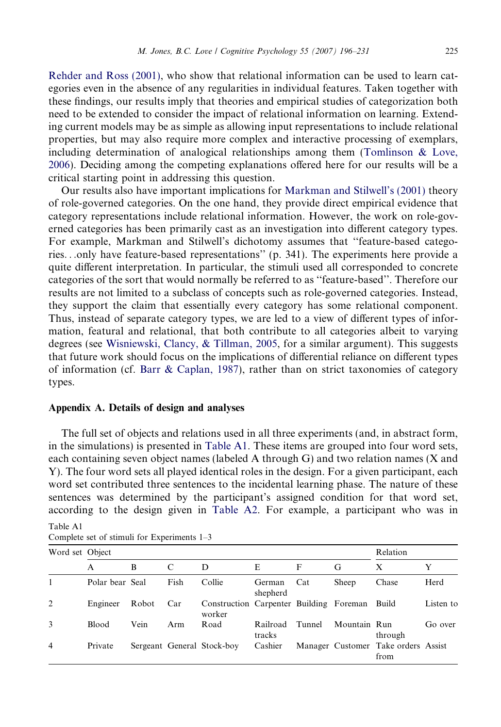[Rehder and Ross \(2001\),](#page-34-0) who show that relational information can be used to learn categories even in the absence of any regularities in individual features. Taken together with these findings, our results imply that theories and empirical studies of categorization both need to be extended to consider the impact of relational information on learning. Extending current models may be as simple as allowing input representations to include relational properties, but may also require more complex and interactive processing of exemplars, including determination of analogical relationships among them ([Tomlinson & Love,](#page-35-0) [2006](#page-35-0)). Deciding among the competing explanations offered here for our results will be a critical starting point in addressing this question.

Our results also have important implications for [Markman and Stilwell's \(2001\)](#page-33-0) theory of role-governed categories. On the one hand, they provide direct empirical evidence that category representations include relational information. However, the work on role-governed categories has been primarily cast as an investigation into different category types. For example, Markman and Stilwell's dichotomy assumes that ''feature-based categories...only have feature-based representations'' (p. 341). The experiments here provide a quite different interpretation. In particular, the stimuli used all corresponded to concrete categories of the sort that would normally be referred to as ''feature-based''. Therefore our results are not limited to a subclass of concepts such as role-governed categories. Instead, they support the claim that essentially every category has some relational component. Thus, instead of separate category types, we are led to a view of different types of information, featural and relational, that both contribute to all categories albeit to varying degrees (see [Wisniewski, Clancy, & Tillman, 2005](#page-35-0), for a similar argument). This suggests that future work should focus on the implications of differential reliance on different types of information (cf. [Barr & Caplan, 1987\)](#page-32-0), rather than on strict taxonomies of category types.

# Appendix A. Details of design and analyses

The full set of objects and relations used in all three experiments (and, in abstract form, in the simulations) is presented in Table A1. These items are grouped into four word sets, each containing seven object names (labeled A through G) and two relation names (X and Y). The four word sets all played identical roles in the design. For a given participant, each word set contributed three sentences to the incidental learning phase. The nature of these sentences was determined by the participant's assigned condition for that word set, according to the design given in [Table A2](#page-30-0). For example, a participant who was in

| Word set Object |                 |       |      |                                                         |                    |        |              |                                             | Relation  |  |
|-----------------|-----------------|-------|------|---------------------------------------------------------|--------------------|--------|--------------|---------------------------------------------|-----------|--|
|                 | A               | B     | C    | D                                                       | E                  | F      | G            | X                                           | Y         |  |
|                 | Polar bear Seal |       | Fish | Collie                                                  | German<br>shepherd | Cat    | Sheep        | Chase                                       | Herd      |  |
| 2               | Engineer        | Robot | Car  | Construction Carpenter Building Foreman Build<br>worker |                    |        |              |                                             | Listen to |  |
| 3               | <b>Blood</b>    | Vein  | Arm  | Road                                                    | Railroad<br>tracks | Tunnel | Mountain Run | through                                     | Go over   |  |
| $\overline{4}$  | Private         |       |      | Sergeant General Stock-boy                              | Cashier            |        |              | Manager Customer Take orders Assist<br>from |           |  |

Complete set of stimuli for Experiments 1–3

Table A1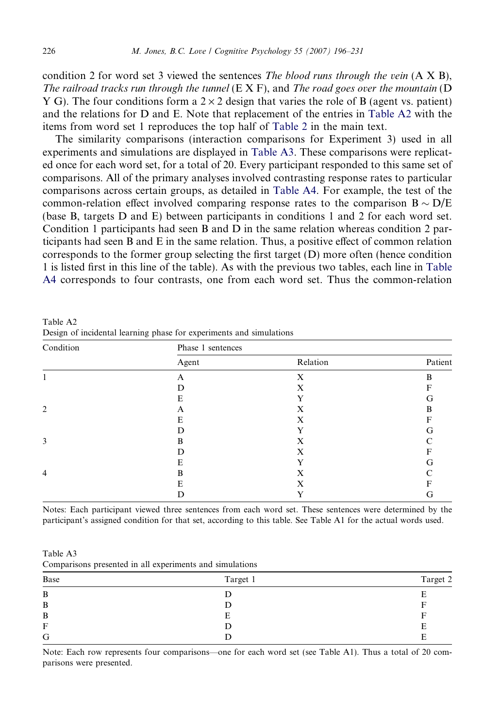<span id="page-30-0"></span>condition 2 for word set 3 viewed the sentences *The blood runs through the vein*  $(A \times B)$ , The railroad tracks run through the tunnel  $(E X F)$ , and The road goes over the mountain (D) Y G). The four conditions form a  $2 \times 2$  design that varies the role of B (agent vs. patient) and the relations for D and E. Note that replacement of the entries in Table A2 with the items from word set 1 reproduces the top half of [Table 2](#page-7-0) in the main text.

The similarity comparisons (interaction comparisons for Experiment 3) used in all experiments and simulations are displayed in Table A3. These comparisons were replicated once for each word set, for a total of 20. Every participant responded to this same set of comparisons. All of the primary analyses involved contrasting response rates to particular comparisons across certain groups, as detailed in [Table A4](#page-31-0). For example, the test of the common-relation effect involved comparing response rates to the comparison  $B \sim D/E$ (base B, targets D and E) between participants in conditions 1 and 2 for each word set. Condition 1 participants had seen B and D in the same relation whereas condition 2 participants had seen B and E in the same relation. Thus, a positive effect of common relation corresponds to the former group selecting the first target (D) more often (hence condition 1 is listed first in this line of the table). As with the previous two tables, each line in [Table](#page-31-0) [A4](#page-31-0) corresponds to four contrasts, one from each word set. Thus the common-relation

| Condition      | Phase 1 sentences |          |         |  |  |  |  |  |
|----------------|-------------------|----------|---------|--|--|--|--|--|
|                | Agent             | Relation | Patient |  |  |  |  |  |
|                | A                 | X        | B       |  |  |  |  |  |
|                | D                 | X        | F       |  |  |  |  |  |
|                | E                 | Y        | G       |  |  |  |  |  |
| $\overline{2}$ | A                 | X        | B       |  |  |  |  |  |
|                | E                 | X        | F       |  |  |  |  |  |
|                | D                 | Y        | G       |  |  |  |  |  |
| 3              | B                 | X        | ⌒       |  |  |  |  |  |
|                | D                 | X        | F       |  |  |  |  |  |
|                | Е                 | v        | G       |  |  |  |  |  |
| 4              | B                 | X        |         |  |  |  |  |  |
|                | E                 | X        | F       |  |  |  |  |  |
|                | D                 | Y        | G       |  |  |  |  |  |

Table A2 Design of incidental learning phase for experiments and simulations

Notes: Each participant viewed three sentences from each word set. These sentences were determined by the participant's assigned condition for that set, according to this table. See Table A1 for the actual words used.

| Table A3                                                 |  |  |  |
|----------------------------------------------------------|--|--|--|
| Comparisons presented in all experiments and simulations |  |  |  |

| Base | Target 1 | Target 2 |
|------|----------|----------|
| B    |          |          |
| B    |          |          |
| B    |          |          |
| F    |          |          |
| G    |          |          |

Note: Each row represents four comparisons—one for each word set (see Table A1). Thus a total of 20 comparisons were presented.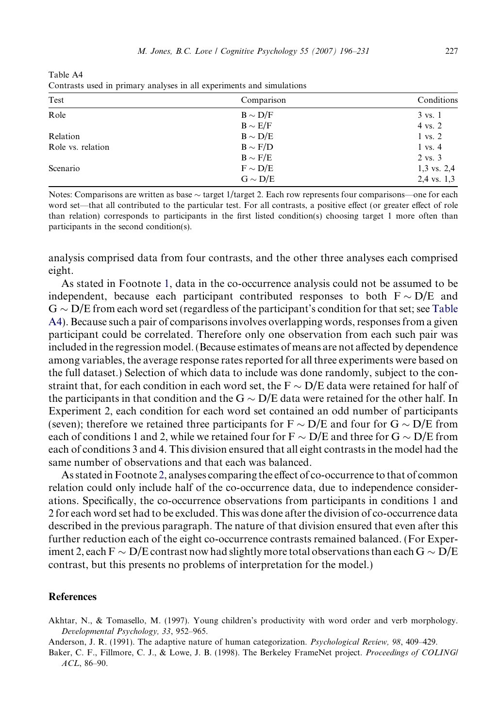| Test              | Comparison   | Conditions         |
|-------------------|--------------|--------------------|
| Role              | $B \sim D/F$ | $3 \text{ vs. } 1$ |
|                   | $B \sim E/F$ | $4 \text{ vs. } 2$ |
| Relation          | $B \sim D/E$ | $1 \text{ vs. } 2$ |
| Role vs. relation | $B \sim F/D$ | $1 \text{ vs. } 4$ |
|                   | $B \sim F/E$ | 2 vs. 3            |
| Scenario          | $F \sim D/E$ | $1,3$ vs. $2,4$    |
|                   | $G \sim D/E$ | $2,4$ vs. 1,3      |

<span id="page-31-0"></span>Table A4

Contrasts used in primary analyses in all experiments and simulations

Notes: Comparisons are written as base  $\sim$  target 1/target 2. Each row represents four comparisons—one for each word set—that all contributed to the particular test. For all contrasts, a positive effect (or greater effect of role than relation) corresponds to participants in the first listed condition(s) choosing target 1 more often than participants in the second condition(s).

analysis comprised data from four contrasts, and the other three analyses each comprised eight.

As stated in Footnote [1](#page-12-0), data in the co-occurrence analysis could not be assumed to be independent, because each participant contributed responses to both  $F \sim D/E$  and  $G \sim D/E$  from each word set (regardless of the participant's condition for that set; see Table A4). Because such a pair of comparisons involves overlapping words, responses from a given participant could be correlated. Therefore only one observation from each such pair was included in the regression model. (Because estimates of means are not affected by dependence among variables, the average response rates reported for all three experiments were based on the full dataset.) Selection of which data to include was done randomly, subject to the constraint that, for each condition in each word set, the  $F \sim D/E$  data were retained for half of the participants in that condition and the  $G \sim D/E$  data were retained for the other half. In Experiment 2, each condition for each word set contained an odd number of participants (seven); therefore we retained three participants for  $F \sim D/E$  and four for  $G \sim D/E$  from each of conditions 1 and 2, while we retained four for  $F \sim D/E$  and three for  $G \sim D/E$  from each of conditions 3 and 4. This division ensured that all eight contrasts in the model had the same number of observations and that each was balanced.

As stated in Footnote [2](#page-12-0), analyses comparing the effect of co-occurrence to that of common relation could only include half of the co-occurrence data, due to independence considerations. Specifically, the co-occurrence observations from participants in conditions 1 and 2 for each word set had to be excluded. This was done after the division of co-occurrence data described in the previous paragraph. The nature of that division ensured that even after this further reduction each of the eight co-occurrence contrasts remained balanced. (For Experiment 2, each  $F \sim D/E$  contrast now had slightly more total observations than each  $G \sim D/E$ contrast, but this presents no problems of interpretation for the model.)

# **References**

Akhtar, N., & Tomasello, M. (1997). Young children's productivity with word order and verb morphology. Developmental Psychology, 33, 952–965.

Anderson, J. R. (1991). The adaptive nature of human categorization. Psychological Review, 98, 409–429.

Baker, C. F., Fillmore, C. J., & Lowe, J. B. (1998). The Berkeley FrameNet project. Proceedings of COLING/ ACL, 86–90.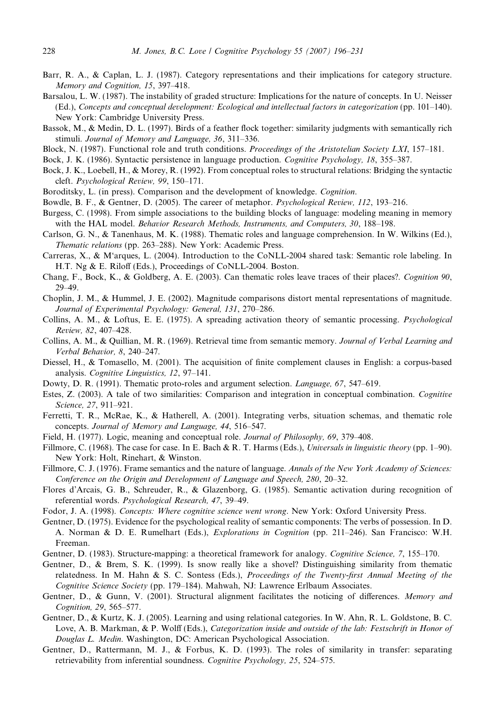- <span id="page-32-0"></span>Barr, R. A., & Caplan, L. J. (1987). Category representations and their implications for category structure. Memory and Cognition, 15, 397–418.
- Barsalou, L. W. (1987). The instability of graded structure: Implications for the nature of concepts. In U. Neisser (Ed.), Concepts and conceptual development: Ecological and intellectual factors in categorization (pp. 101–140). New York: Cambridge University Press.
- Bassok, M., & Medin, D. L. (1997). Birds of a feather flock together: similarity judgments with semantically rich stimuli. Journal of Memory and Language, 36, 311–336.
- Block, N. (1987). Functional role and truth conditions. Proceedings of the Aristotelian Society LXI, 157-181.

Bock, J. K. (1986). Syntactic persistence in language production. Cognitive Psychology, 18, 355–387.

- Bock, J. K., Loebell, H., & Morey, R. (1992). From conceptual roles to structural relations: Bridging the syntactic cleft. Psychological Review, 99, 150–171.
- Boroditsky, L. (in press). Comparison and the development of knowledge. Cognition.
- Bowdle, B. F., & Gentner, D. (2005). The career of metaphor. *Psychological Review*, 112, 193–216.
- Burgess, C. (1998). From simple associations to the building blocks of language: modeling meaning in memory with the HAL model. Behavior Research Methods, Instruments, and Computers, 30, 188-198.
- Carlson, G. N., & Tanenhaus, M. K. (1988). Thematic roles and language comprehension. In W. Wilkins (Ed.), Thematic relations (pp. 263–288). New York: Academic Press.
- Carreras, X., & M'arques, L. (2004). Introduction to the CoNLL-2004 shared task: Semantic role labeling. In H.T. Ng & E. Riloff (Eds.), Proceedings of CoNLL-2004. Boston.
- Chang, F., Bock, K., & Goldberg, A. E. (2003). Can thematic roles leave traces of their places?. Cognition 90, 29–49.
- Choplin, J. M., & Hummel, J. E. (2002). Magnitude comparisons distort mental representations of magnitude. Journal of Experimental Psychology: General, 131, 270–286.
- Collins, A. M., & Loftus, E. E. (1975). A spreading activation theory of semantic processing. Psychological Review, 82, 407–428.
- Collins, A. M., & Quillian, M. R. (1969). Retrieval time from semantic memory. Journal of Verbal Learning and Verbal Behavior, 8, 240–247.
- Diessel, H., & Tomasello, M. (2001). The acquisition of finite complement clauses in English: a corpus-based analysis. Cognitive Linguistics, 12, 97–141.
- Dowty, D. R. (1991). Thematic proto-roles and argument selection. Language, 67, 547–619.
- Estes, Z. (2003). A tale of two similarities: Comparison and integration in conceptual combination. Cognitive Science, 27, 911–921.
- Ferretti, T. R., McRae, K., & Hatherell, A. (2001). Integrating verbs, situation schemas, and thematic role concepts. Journal of Memory and Language, 44, 516–547.
- Field, H. (1977). Logic, meaning and conceptual role. Journal of Philosophy, 69, 379–408.
- Fillmore, C. (1968). The case for case. In E. Bach & R. T. Harms (Eds.), Universals in linguistic theory (pp. 1–90). New York: Holt, Rinehart, & Winston.
- Fillmore, C. J. (1976). Frame semantics and the nature of language. Annals of the New York Academy of Sciences: Conference on the Origin and Development of Language and Speech, 280, 20–32.
- Flores d'Arcais, G. B., Schreuder, R., & Glazenborg, G. (1985). Semantic activation during recognition of referential words. Psychological Research, 47, 39–49.
- Fodor, J. A. (1998). Concepts: Where cognitive science went wrong. New York: Oxford University Press.
- Gentner, D. (1975). Evidence for the psychological reality of semantic components: The verbs of possession. In D. A. Norman & D. E. Rumelhart (Eds.), Explorations in Cognition (pp. 211-246). San Francisco: W.H. Freeman.
- Gentner, D. (1983). Structure-mapping: a theoretical framework for analogy. *Cognitive Science*, 7, 155–170.
- Gentner, D., & Brem, S. K. (1999). Is snow really like a shovel? Distinguishing similarity from thematic relatedness. In M. Hahn & S. C. Sontess (Eds.), Proceedings of the Twenty-first Annual Meeting of the Cognitive Science Society (pp. 179–184). Mahwah, NJ: Lawrence Erlbaum Associates.
- Gentner, D., & Gunn, V. (2001). Structural alignment facilitates the noticing of differences. Memory and Cognition, 29, 565–577.
- Gentner, D., & Kurtz, K. J. (2005). Learning and using relational categories. In W. Ahn, R. L. Goldstone, B. C. Love, A. B. Markman, & P. Wolff (Eds.), Categorization inside and outside of the lab: Festschrift in Honor of Douglas L. Medin. Washington, DC: American Psychological Association.
- Gentner, D., Rattermann, M. J., & Forbus, K. D. (1993). The roles of similarity in transfer: separating retrievability from inferential soundness. Cognitive Psychology, 25, 524–575.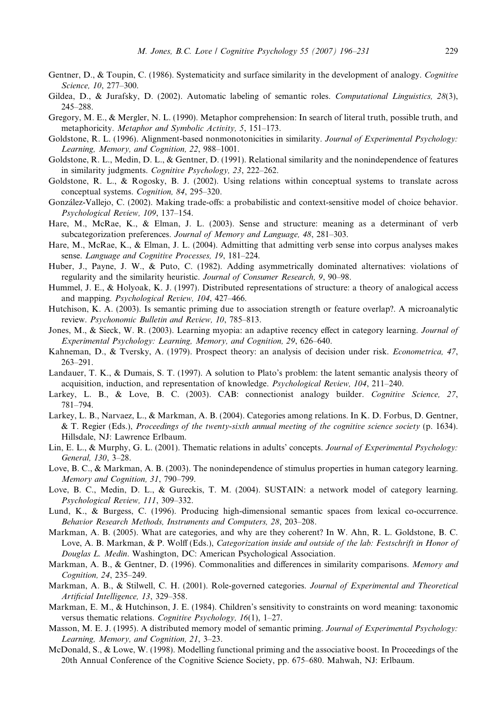- <span id="page-33-0"></span>Gentner, D., & Toupin, C. (1986). Systematicity and surface similarity in the development of analogy. Cognitive Science, 10, 277–300.
- Gildea, D., & Jurafsky, D. (2002). Automatic labeling of semantic roles. Computational Linguistics, 28(3), 245–288.
- Gregory, M. E., & Mergler, N. L. (1990). Metaphor comprehension: In search of literal truth, possible truth, and metaphoricity. Metaphor and Symbolic Activity, 5, 151–173.
- Goldstone, R. L. (1996). Alignment-based nonmonotonicities in similarity. Journal of Experimental Psychology: Learning, Memory, and Cognition, 22, 988–1001.
- Goldstone, R. L., Medin, D. L., & Gentner, D. (1991). Relational similarity and the nonindependence of features in similarity judgments. Cognitive Psychology, 23, 222–262.
- Goldstone, R. L., & Rogosky, B. J. (2002). Using relations within conceptual systems to translate across conceptual systems. Cognition, 84, 295–320.
- González-Vallejo, C. (2002). Making trade-offs: a probabilistic and context-sensitive model of choice behavior. Psychological Review, 109, 137–154.
- Hare, M., McRae, K., & Elman, J. L. (2003). Sense and structure: meaning as a determinant of verb subcategorization preferences. Journal of Memory and Language, 48, 281–303.
- Hare, M., McRae, K., & Elman, J. L. (2004). Admitting that admitting verb sense into corpus analyses makes sense. Language and Cognitive Processes, 19, 181–224.
- Huber, J., Payne, J. W., & Puto, C. (1982). Adding asymmetrically dominated alternatives: violations of regularity and the similarity heuristic. Journal of Consumer Research, 9, 90–98.
- Hummel, J. E., & Holyoak, K. J. (1997). Distributed representations of structure: a theory of analogical access and mapping. Psychological Review, 104, 427–466.
- Hutchison, K. A. (2003). Is semantic priming due to association strength or feature overlap?. A microanalytic review. Psychonomic Bulletin and Review, 10, 785–813.
- Jones, M., & Sieck, W. R. (2003). Learning myopia: an adaptive recency effect in category learning. Journal of Experimental Psychology: Learning, Memory, and Cognition, 29, 626–640.
- Kahneman, D., & Tversky, A. (1979). Prospect theory: an analysis of decision under risk. Econometrica, 47, 263–291.
- Landauer, T. K., & Dumais, S. T. (1997). A solution to Plato's problem: the latent semantic analysis theory of acquisition, induction, and representation of knowledge. Psychological Review, 104, 211–240.
- Larkey, L. B., & Love, B. C. (2003). CAB: connectionist analogy builder. Cognitive Science, 27, 781–794.
- Larkey, L. B., Narvaez, L., & Markman, A. B. (2004). Categories among relations. In K. D. Forbus, D. Gentner, & T. Regier (Eds.), Proceedings of the twenty-sixth annual meeting of the cognitive science society (p. 1634). Hillsdale, NJ: Lawrence Erlbaum.
- Lin, E. L., & Murphy, G. L. (2001). Thematic relations in adults' concepts. Journal of Experimental Psychology: General, 130, 3–28.
- Love, B. C., & Markman, A. B. (2003). The nonindependence of stimulus properties in human category learning. Memory and Cognition, 31, 790–799.
- Love, B. C., Medin, D. L., & Gureckis, T. M. (2004). SUSTAIN: a network model of category learning. Psychological Review, 111, 309–332.
- Lund, K., & Burgess, C. (1996). Producing high-dimensional semantic spaces from lexical co-occurrence. Behavior Research Methods, Instruments and Computers, 28, 203–208.
- Markman, A. B. (2005). What are categories, and why are they coherent? In W. Ahn, R. L. Goldstone, B. C. Love, A. B. Markman, & P. Wolff (Eds.), Categorization inside and outside of the lab: Festschrift in Honor of Douglas L. Medin. Washington, DC: American Psychological Association.
- Markman, A. B., & Gentner, D. (1996). Commonalities and differences in similarity comparisons. Memory and Cognition, 24, 235–249.
- Markman, A. B., & Stilwell, C. H. (2001). Role-governed categories. Journal of Experimental and Theoretical Artificial Intelligence, 13, 329–358.
- Markman, E. M., & Hutchinson, J. E. (1984). Children's sensitivity to constraints on word meaning: taxonomic versus thematic relations. Cognitive Psychology, 16(1), 1–27.
- Masson, M. E. J. (1995). A distributed memory model of semantic priming. Journal of Experimental Psychology: Learning, Memory, and Cognition, 21, 3–23.
- McDonald, S., & Lowe, W. (1998). Modelling functional priming and the associative boost. In Proceedings of the 20th Annual Conference of the Cognitive Science Society, pp. 675–680. Mahwah, NJ: Erlbaum.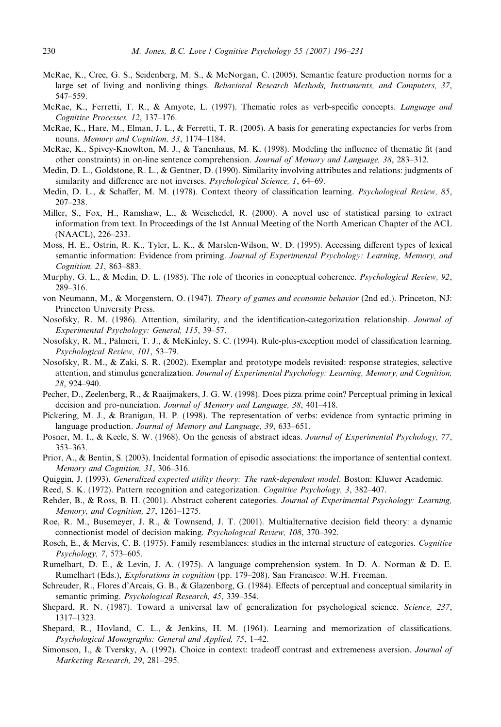- <span id="page-34-0"></span>McRae, K., Cree, G. S., Seidenberg, M. S., & McNorgan, C. (2005). Semantic feature production norms for a large set of living and nonliving things. Behavioral Research Methods, Instruments, and Computers, 37, 547–559.
- McRae, K., Ferretti, T. R., & Amyote, L. (1997). Thematic roles as verb-specific concepts. Language and Cognitive Processes, 12, 137–176.
- McRae, K., Hare, M., Elman, J. L., & Ferretti, T. R. (2005). A basis for generating expectancies for verbs from nouns. Memory and Cognition, 33, 1174–1184.
- McRae, K., Spivey-Knowlton, M. J., & Tanenhaus, M. K. (1998). Modeling the influence of thematic fit (and other constraints) in on-line sentence comprehension. Journal of Memory and Language, 38, 283–312.
- Medin, D. L., Goldstone, R. L., & Gentner, D. (1990). Similarity involving attributes and relations: judgments of similarity and difference are not inverses. *Psychological Science*, 1, 64–69.
- Medin, D. L., & Schaffer, M. M. (1978). Context theory of classification learning. Psychological Review, 85, 207–238.
- Miller, S., Fox, H., Ramshaw, L., & Weischedel, R. (2000). A novel use of statistical parsing to extract information from text. In Proceedings of the 1st Annual Meeting of the North American Chapter of the ACL (NAACL), 226–233.
- Moss, H. E., Ostrin, R. K., Tyler, L. K., & Marslen-Wilson, W. D. (1995). Accessing different types of lexical semantic information: Evidence from priming. Journal of Experimental Psychology: Learning, Memory, and Cognition, 21, 863–883.
- Murphy, G. L., & Medin, D. L. (1985). The role of theories in conceptual coherence. *Psychological Review*, 92, 289–316.
- von Neumann, M., & Morgenstern, O. (1947). Theory of games and economic behavior (2nd ed.). Princeton, NJ: Princeton University Press.
- Nosofsky, R. M. (1986). Attention, similarity, and the identification-categorization relationship. Journal of Experimental Psychology: General, 115, 39–57.
- Nosofsky, R. M., Palmeri, T. J., & McKinley, S. C. (1994). Rule-plus-exception model of classification learning. Psychological Review, 101, 53–79.
- Nosofsky, R. M., & Zaki, S. R. (2002). Exemplar and prototype models revisited: response strategies, selective attention, and stimulus generalization. Journal of Experimental Psychology: Learning, Memory, and Cognition, 28, 924–940.
- Pecher, D., Zeelenberg, R., & Raaijmakers, J. G. W. (1998). Does pizza prime coin? Perceptual priming in lexical decision and pro-nunciation. Journal of Memory and Language, 38, 401–418.
- Pickering, M. J., & Branigan, H. P. (1998). The representation of verbs: evidence from syntactic priming in language production. Journal of Memory and Language, 39, 633–651.
- Posner, M. I., & Keele, S. W. (1968). On the genesis of abstract ideas. Journal of Experimental Psychology, 77, 353–363.
- Prior, A., & Bentin, S. (2003). Incidental formation of episodic associations: the importance of sentential context. Memory and Cognition, 31, 306–316.
- Quiggin, J. (1993). Generalized expected utility theory: The rank-dependent model. Boston: Kluwer Academic.
- Reed, S. K. (1972). Pattern recognition and categorization. Cognitive Psychology, 3, 382-407.
- Rehder, B., & Ross, B. H. (2001). Abstract coherent categories. Journal of Experimental Psychology: Learning, Memory, and Cognition, 27, 1261–1275.
- Roe, R. M., Busemeyer, J. R., & Townsend, J. T. (2001). Multialternative decision field theory: a dynamic connectionist model of decision making. Psychological Review, 108, 370–392.
- Rosch, E., & Mervis, C. B. (1975). Family resemblances: studies in the internal structure of categories. Cognitive Psychology, 7, 573–605.
- Rumelhart, D. E., & Levin, J. A. (1975). A language comprehension system. In D. A. Norman & D. E. Rumelhart (Eds.), Explorations in cognition (pp. 179–208). San Francisco: W.H. Freeman.
- Schreuder, R., Flores d'Arcais, G. B., & Glazenborg, G. (1984). Effects of perceptual and conceptual similarity in semantic priming. Psychological Research, 45, 339–354.
- Shepard, R. N. (1987). Toward a universal law of generalization for psychological science. Science, 237, 1317–1323.
- Shepard, R., Hovland, C. L., & Jenkins, H. M. (1961). Learning and memorization of classifications. Psychological Monographs: General and Applied, 75, 1–42.
- Simonson, I., & Tversky, A. (1992). Choice in context: tradeoff contrast and extremeness aversion. Journal of Marketing Research, 29, 281–295.